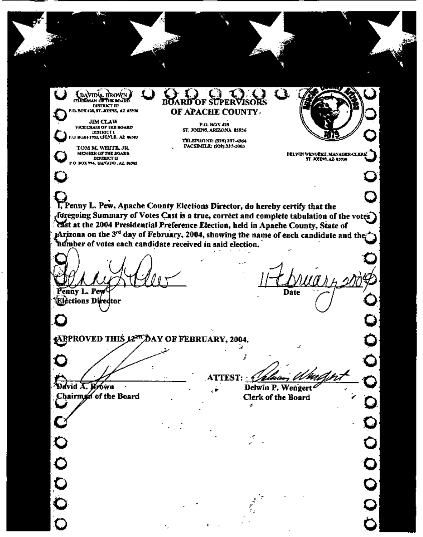DAVIDL BROWN **DISTRICT III** P.O. BOX 428, ST. JOHNS, AZ 85936 **JIM CLAW** 

VICE CHAIR OF THE BOARD DISTRICT I

TOM M. WHITE, JR. MEMBER OF THE BOARD **MATRICT D** P.O. BOX 194, GANADO, AZ. 86565 ROARD OF APACHE COUNTY.

> P.O. BOX 428 ST. JOHNS, ARIZONA 85936

TELEPHONE: (928) 337-4364 FACSIMILE: (928) 337-2003

**DELWIN WENGERI, MANAGER-CLERK** 

ST. JOSDAS, AZ 85936

I, Penny L. Pew, Anache County Elections Director, do hereby certify that the foregoing Summary of Votes Cast is a true, correct and complete tabulation of the votes Cast at the 2004 Presidential Preference Election, held in Apache County, State of Arizona on the 3<sup>rd</sup> day of February, 2004, showing the name of each candidate and the humber of votes each candidate received in said election.

ù,

ł

enny L. Pew

'Elèctions Diredtor

**Date** 

 $\ddot{\mathbf{c}}$ 

Ċ

 $\overline{\mathsf{C}}$ 

**ARPROVED THIS 12<sup>27</sup> D**AY OF FEBRUARY, 2004.

 $0000$ 

**TTEST:** 

9avid A. Brówn Chairman of the Board

Delwin P. Wengert<sup>2</sup> Clerk of the Board d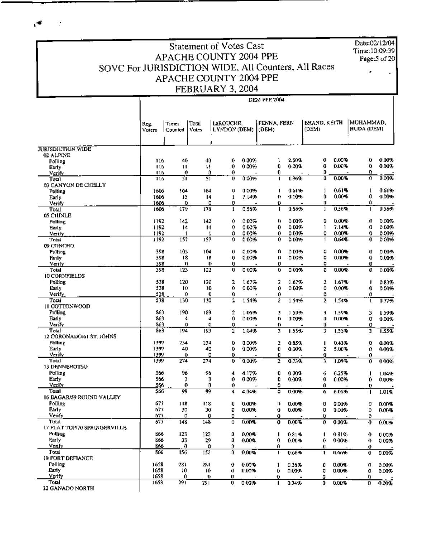$\mathcal{A}$ 

 $\sim$ 

Date:02/12/04 Time:10:09:39 Page:5 of 20

## Statement of Votes Cast APACHE COUNTY 2004 PPE SOVC For JURISDICTION WIDE, All Counters, All Races APACHE COUNTY 2004 PPE FEBRUARY 3, 2004

Reg.<br>Voters

Times Total

Counted Voles

LaROUCHE,

DEM PPE 2014 PENNA, FERN BRAND, KEITH | MUHAMMAD, LYNDON (DEM) (DEM) HUDA (DEM).  $|$  (DEM)

| <b>JURISDICTION WIDE</b>     |      |                      |     |                |       |                         |           |                |         |                  |          |
|------------------------------|------|----------------------|-----|----------------|-------|-------------------------|-----------|----------------|---------|------------------|----------|
|                              |      |                      |     |                |       |                         |           |                |         |                  |          |
| 02 ALPINE                    | 116  | 40                   | 40  | 0              | 0.00% | ı                       | 2.50%     | 0              | 0.00%   | $\mathbf 0$      | 0.00%    |
| Polling                      | 116  | u                    | Ħ   | $\mathbf 0$    | 0.00% | 0                       | 0.00%     | 0              | 0.00%   | 0                | 0.00%    |
| Early                        | 116  | 0                    | 0   | 0              |       | $\bf{0}$                |           | D              |         | 0                |          |
| Verify                       | 116  | 3ī                   | 51  | Ü              | 0.00% | ı.                      | 1.96%     | ō              | 0.00%   | $\sigma$         | 0.00%    |
| Total                        |      |                      |     |                |       |                         |           |                |         |                  |          |
| 03 CANYON DE CHELLY          |      |                      |     |                |       |                         | 0.61%     | 1              | 0.61%   | 1                | 0.61%    |
| Polling                      | 1606 | 164                  | 164 | 0              | 0.00% | I.<br>0                 | $0.005 -$ | 0              | 0.00%   | 0                | 0.007    |
| Early                        | 1606 | 15                   | 14  | 1              | 7.14% |                         |           |                |         |                  |          |
| Verify                       | 1606 | ٥                    | 0   | 0              |       | 0                       |           | 0              |         | 0                |          |
| Total                        | 1606 | 179                  | 173 | 1              | 0.56% | 1                       | 0.56%     | I              | 0.56%   |                  | 0.56%    |
| 05 CHINLE                    |      |                      |     |                |       |                         |           |                |         |                  |          |
| Polling                      | 1192 | 142                  | 142 | 0              | 0.00% | Ð                       | 0.00%     | ٥              | 0.00%   | 0                | 0.00%    |
| Early                        | 1192 | 14                   | 14  | 0              | 0.00% | Ð                       | 0.00%     | 1              | 7.14%   | o                | 0.00%    |
| Verify                       | 1192 | $\mathbf{1}$         | 1   | 0              | 0.00% | 0                       | 0.00%     | 0              | 0.00%   | 0                | 0.00%    |
| Total                        | 1192 | 157                  | 157 | o              | 0.00% | $\mathbf{0}$            | 0.00%     | 1              | 0.64%   | 0                | 0.00%    |
| 09 CONCHO                    |      |                      |     |                |       |                         |           |                |         |                  |          |
| Polling                      | 398  | 105                  | 104 | Ü              | 0.00% | 0                       | 0.00%     | ٥              | 0.00%   | Ü                | 0.00%    |
| <b>Barly</b>                 | 398  | 18                   | 18  | 0              | 0.00% | o                       | 0.00%     | o              | 0.00%   | 0                | 0.00%    |
| Verify                       | 398  | 0                    | 0   | 0              |       | 0                       |           | 0              |         | 0                |          |
| Total                        | 398  | 123                  | 122 | 0              | 0.00% | 0                       | 0.00%     | 0              | 0.00%   | 0                | 0.00%    |
| 10 CORNFIELDS                |      |                      |     |                |       |                         |           |                |         |                  |          |
| Polling                      | 538  | 120                  | 120 | 2              | 1.67% | $\overline{z}$          | 1.67%     | $\mathfrak{a}$ | 1.67%   | J.               | 0.83%    |
| Early                        | 538  | 10                   | 10  | 0              | 0.00% | 0                       | 0.00%     | 0              | 0.00%   | 0                | 0.00%    |
| Verify                       | 538  | 0                    | 0   | 0              |       | 0                       |           | 0              |         | 0                |          |
| Total                        | 538  | 130                  | 130 | 2              | 1.54% | $\overline{2}$          | 1.54%     | 2              | 1.54%   | ı                | 0.77%    |
| H COTTONWOOD                 |      |                      |     |                |       |                         |           |                |         |                  |          |
| Polling                      | 863  | 190                  | 189 | 2              | 1.06% | 3                       |           | Е              | 1.59%   |                  |          |
|                              | 863  | 4                    |     | û              | 0.00% | O                       | 1.59%     | $\mathbf{0}$   |         | 3<br>0           | 1.59%    |
| <b>Early</b>                 |      |                      | 4   |                |       |                         | 0.00%     |                | 0.005   |                  | 0.00%    |
| Vertiv                       | 861  | 0                    | Ω   | 0              |       | 0                       |           | 0              |         | 0                |          |
| Total                        | 863  | 194                  | 193 | $\overline{2}$ | 1.04% | 3                       | 1.55%     | 3              | 1.55%   | 3                | 1.55%    |
| 12 CORONADO/61 ST. JOHNS     |      |                      |     |                |       |                         |           |                |         |                  |          |
| Polling                      | 1399 | 234                  | 234 | 0              | 0.00% | 2                       | 0.85%     | 1              | 0.43%   | o                | 0.00%    |
| Early                        | 1397 | 40                   | 40  | 0              | 0.00% | 0                       | 0.00%     | $\overline{2}$ | 5.00%   | o                | 0.00%    |
| Verify                       | 1399 | 0                    | 0   | 0              |       | O                       |           | 0              |         | $\boldsymbol{0}$ |          |
| Total                        | 1399 | 274                  | 274 | 0              | 0.00% | $\overline{\mathbf{z}}$ | 0.73%     | 3              | 1.09%   | $\mathbf 0$      | 000%     |
| 13 DENNEHOTSO                |      |                      |     |                |       |                         |           |                |         |                  |          |
| Polling                      | 566  | 96                   | 96  | 4              | 4.17% | 0                       | 0.00%     | 6              | 6.25%   | п                | 1.04%    |
| Early                        | 566  | 3                    | 3   | 0              | 0.00% | 0                       | 0.00%     | 0              | 0.00%   | 0                | 0.00%    |
| Verify                       | 566  | $\mathbf 0$          | D   | 0              |       | 0                       |           | 0              |         | 0                |          |
| Total                        | 566  | 99                   | 99  | 4              | 4.04% | ō                       | 0.00%     | 6              | 6.06%   | ı                | 1.01%    |
| 16 BAGAR/59 ROUND VALLEY     |      |                      |     |                |       |                         |           |                |         |                  |          |
| Polline                      | 677  | 118                  | 118 | 0              | 0.00% | 0                       | 0.00%     | 0              | 0.00%   | 0                | 0.00%    |
| <b>Early</b>                 | 677  | 30                   | 30  | 0              | 0.00% | 0                       | 0.00%     | ٥              | 0.00%   | 0                | $0.00 -$ |
| Verify                       | 677  | 0                    | Ů   | 0              |       | 0                       |           | D              |         | o                |          |
| Total                        | 677  | 148                  | 148 | 0              | 0.00% | 0                       | 0.00%     | 0              | 0.00%   | 0                | 0.00%    |
| 17 FLAT TOP/70 SPRINGERVILLE |      |                      |     |                |       |                         |           |                |         |                  |          |
| Polling                      | 866  | 123                  | 123 | $\mathbf{0}$   | 0.00% | I                       | 0.81%     | 1              | 0 S I % | 0                | 0.00%    |
| Early                        | 866  | 33                   | 29  | $\mathbf{0}$   | 0.00% | 0                       | 0.00%     | 0              | 0.00%   | 0                | 0.00%    |
| Venfy                        | 866  | $\ddot{\phantom{0}}$ | 0   | 0              |       | Û                       |           | O              |         | 0                |          |
| Total                        | 866  | 156                  | 152 | 0              | 0.00% | L                       | 0.66%     | ı              | 0.66%   | 0                | 0.00%    |
| <b>19 FORT DEFIANCE</b>      |      |                      |     |                |       |                         |           |                |         |                  |          |
|                              | 1658 | 281                  |     |                |       |                         |           |                |         |                  |          |
| Polling                      |      |                      | 281 | 0              | 0.00% | 1                       | 0.36%     | 0              | 0.00%   | o                | 0.00%    |
| <b>Early</b>                 | 1658 | 10                   | 10  | O              | 0.00% | 0                       | 0.00%     | 0              | 0.00%   | 0                | 0.00%    |
| <b>Verify</b>                | 1658 | 0                    | o   | 0              |       | 0                       |           | 0              |         | 0                |          |
| Total                        | 1658 | 291                  | 291 | $\overline{0}$ | 0.00% | 1                       | 0.34%     | 0              | 0.00%   | D                | 0.00%    |
| 22 GANADO NORTH              |      |                      |     |                |       |                         |           |                |         |                  |          |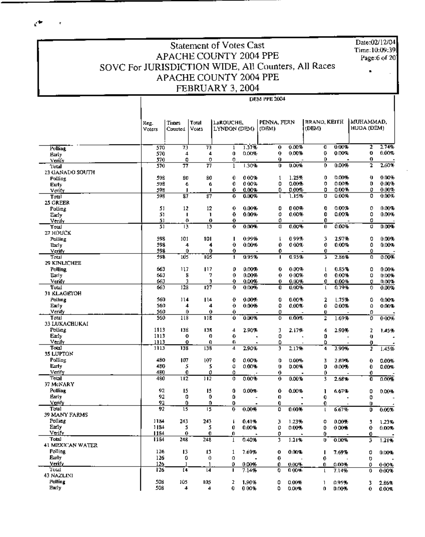Date:02/12/04 Time:10:09:39 Page:6 of 20

### **Statement of Votes Cast APACHE COUNTY 2004 PPE** SOVC For JURISDICTION WIDE, All Counters, All Races APACHE COUNTY 2004 PPE FEBRUARY 3, 2004

**DEM PPE 2004** 

PENNA, FERN BRAND, KEITH MUHAMMAD, **LaROUCHE** Times Total Reg. HUDA (DEM). Votes LYNDON (DEM) (DRM) (DEM) Voters Counted 1.37%  $0.00%$  $0.00%$ 7  $2.74%$ 570 73 ᆑ  $\overline{\mathfrak{o}}$ ō **Folling** 1  $0.00%$  $0.00%$ 0  $0.00%$ 570  $\ddot{a}$  $\overline{4}$  $\bf{0}$ 0.00%  $\Omega$ 0 Early 570 0  $\circ$  $\mathbf{0}$ Ò 0 0 <u>Verify</u>  $0.00%$ 2.60% 570 77 77  $\mathbf l$  $1.30%$ Ü nore. 0 2 1 otal 23 GANADO SOUTH 598 80 80  $\bf{0}$ 0.00% 1.25%  $\mathbf 0$ 0.00% Ð  $0.00%$  $\mathbf{1}$ **Polling** 598 6 ú 0 000% Ω  $0.00%$ 0  $0.00%$ D  $0.00%$ Early  $0.00%$  $0.00%$  $0.00%$ 598 0  $0.00%$ o 0 Verify 0 п ı ō  $0.00%$ 598  $\overline{\mathbf{37}}$  $\overline{\boldsymbol{s}7}$ 0.00% ไ.โร่% U 0.00% Total 0  $\mathsf{L}$ 25 GREER  $12$  $12$  $\theta$  $0.00%$ 0  $0.00%$ 0  $0.00%$ o  $0.00%$ 51 Polling 51 ı 0  $0.00%$ û 0.00% 0  $0.007$ 0 0.00% Early J. <u>Verify</u> 51  $\pmb{\theta}$ 0  $\bf{0}$ Ó Ü Ó  $0.004$  $0.00%$  $0.00%$ 0.00% Total 51  $13$  $13$  $\mathbf 0$  $\mathbf{d}$  $\bf{0}$  $\mathbf{u}$ 27 HOUCK Polling 598 101 101  $\blacksquare$ 0.99% 0.99% 3 2.97% o 0.00% L 0 Early 598 4 4  $\theta$ 0.00% Û. 0.00%  $0.00%$ Δ  $0.00%$ 598 0 0  $\mathbf 0$ ó Verify 0 Û  $0.95%$ 2.86%  $0.00%$ 105 103 0.95% Total 598 ı п 3 o 29 KINLICHEE **Polling** 663 117  $117$  $\mathbf{0}$  $0.00%$  $\mathbf 0$  $0.00%$  $0.85%$ 0  $0.00%$  $\mathbf{I}$ Early 663 8 7  $\bf{0}$ 0.00% 0  $0.00%$ 0 0.00% Û 0.00% Verify 663  $0.00%$ 0.00%  $0.00%$  $0.00%$ O Ô a  $\overline{128}$  $\overline{127}$ Total 663 0 0.00% û 0.00% ť  $0.79%$  $\overline{\mathbf{0}}$ 0.00% 31 KLAGETOH Polling 560  $114$  $114$  $\mathbf{0}$  $0.00%$ 0  $0.00%$ 1.75% ۵  $\mathbf{2}$ 0.00% 560 Early 4  $\boldsymbol{A}$  $\theta$  $0.00%$ 0 0.00% 0 0.00% o 0.00% Verify 560  $\theta$  $\theta$  $\bf{0}$ Û o Ü  $118$  $\overline{118}$  $0.0195$  $0.00%$ Total 560  $\mathbf{0}$  $1.69%$  $000%$ 0 2 0 33 LUKACHUKAI Polling 2.90% 1113 138 138  $\overline{4}$ 3 2.17% 4 2.90%  $\overline{2}$ 1.45% Early 1113 0 O 0 0 0  $\overline{\mathbf{0}}$ Venly Ō 1113  $\mathbf 0$ 0 ٥ ٥ Đ Total בנונ 138  $\overline{138}$ 7 2.90%  $2.17%$ 2.90%  $1.45%$ 3 4  $\overline{\mathbf{z}}$ 35 LUPTON Polling 480 107 107 0  $0.00%$ 0 0.00% 3 2.80%  $\ddot{\mathbf{0}}$  $0.00%$ Early 480  $\Omega$ 5 5 0.00%  $\mathbf{u}$ 0.00% D  $0.007$ 0  $0.00%$ Verify 480 0 0 Ó  $\boldsymbol{0}$ Ű. 0 **Total** 480 112  $\overline{112}$  $0.00%$  $0.00%$  $2.68 +$  $0.00%$ 0  $\bf{o}$ 3 0 37 MeNARY **Polling** 92 15 15 0  $0.00%$  $\mathbf 0$ 0.00% 6.67% I. 0  $0.00 -$ Early 92 0 0 O. O 0 0 <u>Verify</u> 92 ٥ Ó Đ 0 0 Ü Total  $92$  $\overline{15}$  $0.00%$  $0.00%$  $6.67%$  $\overline{15}$  $\overline{\mathbf{0}}$  $0.00%$ 0  $\mathsf{L}$  $\overline{\mathbf{D}}$ 39 MANY FARMS Polling 1184 243 243 0.41% 3  $1.23%$ o  $0.00%$ F ß, 1.23% Early 1184 5 5 Û 0.00% 0  $0.00%$ 0  $000%$ 0  $0.00%$ <u>Venify</u> 1184 0 Ù 0 0 Ď Ů. Total 1184 248 248  $0.40%$  $1.214$  $\mathbf{I}$ 3 o 0.00% 3 1.21% 41 MEXICAN WATER Polling 126 13 13 7.69%  $\mathbf{1}$ 0 0.00% 7.69% o ı 0.00% Eurly 126 0 0 o  $\bf{0}$  $\mathbf{0}$ o Verify  $126$  $0.00%$ 0.00%  $0.00%$  $0.00%$ 0 0 0. 0  $\overline{1}$ blal 74 126  $\overline{14}$ п  $7.14%$ o  $0.00%$  $7.14%$  $0.00%$  $\mathsf{L}$ o 43 NAZLINI Polling 508 105 105 z 1.90% O 0.00% 095% t  $\mathbf{1}$ 2.86% Early 508  $\boldsymbol{A}$  $\boldsymbol{\mathcal{A}}$  $\bf{0}$ 0.00% O 0.00%  $\pmb{0}$ 0.00% 0  $0.00%$ 

 $e^+$ 

 $\bar{\tau}$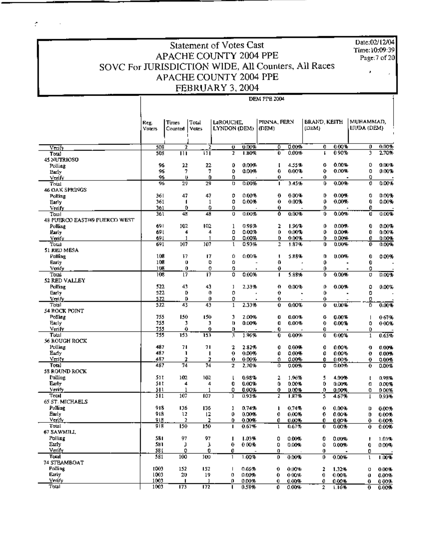Time:10:09:39<br>Page:7 of 20

## Statement of Votes Cast Date:02/12/04 APACHE COUNTY 2004 PPE SOVC For JURISDICTION WIDE, All Counters, All Races APACHE COUNTY 2004 PPE FEBRUARY 3, 2004

÷.

 $\sim 10^{11}$  km  $^{-1}$ 

DEM PPH 2004

|                               | Reg.<br><b>Voters</b> | Times<br>Counted                | Total<br>Votes | LaROUCHE,<br>LYNDON (DEM) |                | PENNA, FERN<br>(DEM) |                | BRAND, KEITH<br>(DEM) |                | MUHAMMAD,<br><b>IIUDA (DEM)</b> |                |
|-------------------------------|-----------------------|---------------------------------|----------------|---------------------------|----------------|----------------------|----------------|-----------------------|----------------|---------------------------------|----------------|
|                               | 508                   | 2                               | 2              | O.                        | 0.00%          | ٥                    | 0.00%          | 0                     | 0.00%          | 0                               | 0.00%          |
| Venty<br>Total                | 508                   | Ш                               | $\mathbf{H}$   | $\overline{z}$            | 1.80%          | Û                    | 0.00%          | г                     | 0.90%          | 3                               | 2.70%          |
| <b>45 NUTRIOSO</b>            |                       |                                 |                |                           |                |                      |                |                       |                |                                 |                |
| Polling                       | 96                    | 22                              | 22             | 0                         | 0.00%          | f.                   | 4.55%          | o                     | 0.00%          | ٥                               | 0.00%          |
| Early                         | 96                    | 7                               | 7              | 0                         | 0.00%          | 0                    | 0.00%          | 0                     | 0.00%          | 0                               | 0.00%          |
| Verify                        | 96                    | υ                               | 0              | 0                         |                | 0.                   |                | 0                     |                | 0                               |                |
| Total                         | 96                    | 29                              | 29             | o                         | 0.00%          | п                    | 3.45%          | 0                     | 0.00%          | 0                               | 0.00%          |
| 46 OAK SPRINGS                |                       |                                 |                |                           |                |                      |                |                       |                |                                 |                |
| Polling                       | 361                   | 47                              | 47             | 0                         | 0.00%          | 0                    | 0.00%          | D                     | $0.00 +$       | 0                               | 0.00%          |
| Early                         | 361                   | 1                               | 1              | 0                         | 0.00%          | 0                    | 0.00%          | 0                     | 0.00%          | 0                               | 0.00%          |
| Verify                        | 361                   | 0                               | 0              | 0                         |                | 0.                   |                | 0                     |                | 0                               |                |
| Total                         | 361                   | 48                              | 48             | o                         | 0.00%          | Ō                    | 0.00%          | Ů                     | 0.00%          | ū                               | 0.00%          |
| 48 PUERCO EAST/49 PUERCO WEST |                       |                                 |                |                           |                |                      |                |                       |                |                                 |                |
| Polling                       | 691                   | 102                             | 102            | 1                         | 0.98%          | 2                    | 1.96%          | 0                     | 0.00%          | 0                               | 0.00%          |
| Early                         | 69 L                  | 4                               | 4              | 0                         | 0.00%          | 0                    | 0.00%          | 0                     | 0.00%          | 0                               | 0.00%          |
| Venfy                         | 691                   | 1                               | 1              | 0                         | 0.00%          | 0                    | 0.00%          | 0                     | 0.00%          | 0.                              | $0.00 -$       |
| Total                         | 691                   | 107                             | 107            | 1                         | 0.93%          | 2                    | 1.87%          | Û                     | 0.00%          | 0                               | 0.00%          |
| 51 RED MESA                   |                       |                                 |                |                           |                |                      |                |                       |                |                                 |                |
| Polling                       | 108                   | 17                              | 17             | 0                         | 0.00%          | Ţ                    | 5.88%          | o                     | 0.00%          | 0                               | 0.00%          |
| Early                         | 108                   | 0                               | O              | o                         |                | Đ                    |                | 0                     |                | 0                               |                |
| Venfy                         | 108                   | 0                               | 0              | o                         | $\blacksquare$ | 0                    |                | 0                     | $\blacksquare$ | 0                               |                |
| Total                         | 108                   | $\overline{17}$                 | 17             | 0                         | 0.00%          | 1                    | 5.88%          | 0                     | 0.00%          | o                               | 0.00%          |
| 52 RED VALLEY                 |                       |                                 |                |                           |                |                      |                |                       |                |                                 |                |
| Pulling                       | 522                   | 43                              | 43             | ı                         | 2.33%          | 0                    | 0.00%          | o                     | 0.00%          | 0                               | $0.00\%$       |
| Early                         | 522                   | D                               | 0              | 0                         |                | 0                    |                | 0                     |                | 0                               |                |
| Verify                        | 522                   | D                               | 0              | 0                         |                | 0                    |                | 0                     |                | 0                               |                |
| Total                         | 522                   | 43                              | 43             | $\mathbf{1}$              | 2.33%          | Û                    | 0.00%          | 0                     | 0.00%          | 70                              | 0.00%          |
| 54 ROCK POINT                 |                       |                                 |                |                           |                |                      |                |                       |                |                                 |                |
| Polling                       | 755                   | 150                             | 150            | 3                         | 2.00%          | Q.                   | 0.00%          | 0                     | 0.00%          |                                 | 0.67%          |
| Farly                         | 755                   | 3                               | 3              | o                         | 0.00%          | O                    | 0.00%          | 0                     | 0.00%          | ٥                               | 0.00%          |
| Verify                        | 755                   | 0                               | 0              | D                         |                | 0                    |                | 0                     |                | 0                               |                |
| Total                         | 755                   | 153                             | 153            | 3                         | 1.96%          | 0                    | 0.00%          | 0                     | $0.00\%$       | 1                               | 0.65%          |
| <b>56 ROUGH ROCK</b>          |                       |                                 |                |                           |                |                      |                |                       |                |                                 |                |
| Folling                       | 487                   | 71                              | 71             | 2                         | 2.82%          | 0                    | 0.00%          | 0                     | 0.00%          | o                               | 0.00%          |
| Early                         | 487                   | J.                              | п              | 0                         | 0.00%          | 0                    | 0.00%          | 0                     | 0.00%          | 0                               | 0.00%          |
| Verity                        | 487                   | $\mathbf{r}$<br>$\overline{74}$ | 2<br>74        | 0                         | 0.00%          | 0.                   | 0.00%          | Û                     | 0.00%          | 0.                              | $0.00\%$       |
| Total                         | 487                   |                                 |                | 2                         | 2.70%          | ο.                   | 0.00%          | 0                     | 0.00%          | 0                               | 0.00%          |
| 58 ROUND ROCK                 | 51 T                  | 102                             | 102            |                           |                |                      |                |                       |                |                                 |                |
| Polling<br>Early              | 51 T                  | 4                               | 4              | I.<br>0                   | 0.98%<br>0.00% | 2<br>0               | 1.96%<br>0.00% | 5<br>0                | 4.90%          | t                               | 0.98%          |
| verify                        | 511                   | 1                               | 1              | 0                         |                | 0                    |                | 0.                    | 0.00%          | o                               | 0.00%          |
| Total                         | 511                   | 107                             | 107            | I                         | 0.00%<br>0.93% |                      | 0.00%<br>1.87% |                       | 0.00%          | 0                               | 000%           |
| 65 ST. MICHAELS               |                       |                                 |                |                           |                | z                    |                | 5                     | 4.67%          | 1                               | $0.93 -$       |
| Polling                       | 918                   | 136                             | 136            | 1                         | 0.74%          | ı                    | 0.74%          | 0                     | 0.00%          | D                               |                |
| Early                         | 918                   | 12                              | l2             | 0                         | 0.00%          | 0                    | 0.00%          | 0                     |                |                                 | 0.00%          |
| <u>Veniy</u>                  | 모년                    | 2                               |                | 0                         | 0.00%          | 0                    | 0.00%          | 0                     | 0.00%<br>0.00% | D                               | 0.00%          |
| Total                         | 918                   | 150                             | 150            | п                         | 0.67%          | ι                    | 0.67%          | 0                     | 0.00%          | 9.<br>0.                        | 0.00%<br>0.00% |
| 67 SAWMILL.                   |                       |                                 |                |                           |                |                      |                |                       |                |                                 |                |
| Polling                       | 581                   | 97                              | 97             | ı                         | 1.03%          | 0                    | 0.00%          | 0                     | 0.00%          | t.                              | 1.03%          |
| Early                         | 581                   | э                               | з              | 0                         | 0.00%          | 0                    | 0.00%          | ٥                     | 0.00%          | 0                               | 0.00%          |
| Verify                        | 58 I                  | 0                               | o              | 0                         |                | 0                    |                | 0.                    |                | 0                               |                |
| Total                         | 581                   | 100                             | 100            | $\mathbf{1}$              | 1.00%          | 0.                   | 0.00%          | 0                     | 0.00%          | ı                               | 1.00%          |
| 74 STEAMBOAT                  |                       |                                 |                |                           |                |                      |                |                       |                |                                 |                |
| <b>Polling</b>                | 1003                  | 152                             | 152            | т                         | 0.66%          | 0                    | 0.00%          | 2                     | 1.32%          | o                               | 0.00%          |
| Early                         | 1003                  | 20.                             | 19             | ο                         | 0.00%          | 0                    | 0.00%          | 0.                    | 0.00%          | o                               | 0.00%          |
| Venty                         | 1003                  | п                               | 1              | o                         | 0.00%          | 0                    | 0.00%          | 0                     | 0.00%          | 0.                              | 0.00%          |
| Total                         | 1003                  | 173                             | 172            | ш                         | 0.58%          | 0                    | 0.00%          | 2                     | 1.16%          | 0.                              | 0.00%          |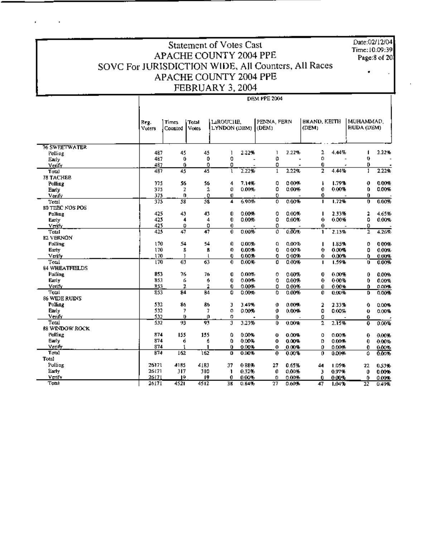## Statement of Votes Cast APACHE COUNTY 2004 PPE SOVC For JURISDICTION WIDE, All Counters, All Races APACHE COUNTY 2004 PPE FEBRUARY 3, 2004

DEM PPE 2004

Date:02/12/04 Time:10:09:39 Page:8 of 20

|                      | Reg.<br>Voters | <b>Times</b><br>Counted | Total<br>Votes  | <b>LAROUCHE,</b><br>LYNDON (DEM) |       | PENNA, FERN<br>(DEM) |       | <b>BRAND, KEITH</b><br>(DEM) |       | MUHAMMAD.<br><b>HUDA (DEM)</b> |          |
|----------------------|----------------|-------------------------|-----------------|----------------------------------|-------|----------------------|-------|------------------------------|-------|--------------------------------|----------|
| <b>76 SWEETWATER</b> |                |                         |                 |                                  |       |                      |       |                              |       |                                |          |
|                      | 487            | 45                      | 45              | 1                                | 2.22% | 1                    | 2.22% | 2                            | 4.44% |                                | 2.22%    |
| Polling<br>Early     | 487            | 0.                      | 0               | 0                                |       | 0                    |       | Ω                            |       | Ü                              |          |
| Verify               | 487            | 0                       | 0               | 0                                |       | 0                    | ٠     | 0                            | ×     | D.                             |          |
| Total                | 487            | 45                      | 45              | ı                                | 2.22% | $\mathbf{1}$         | 2.22% | $\overline{2}$               | 4.44% | ı                              | 2.22%    |
| <b>78 TACHEE</b>     |                |                         |                 |                                  |       |                      |       |                              |       |                                |          |
| <b>Polling</b>       | 375            | 56                      | 56              | 4                                | 7.14% | 0                    | 0.00% | ħ                            | 1.79% | 0                              | 0.00%    |
| <b>Early</b>         | 375            | z                       | 2               | 0                                | 0.00% | 0                    | 0.00% | 0                            | 0.00% | 0                              | 0.00%    |
| Verify               | 375            | o                       | 0               | Ü                                |       | 0.                   |       | 0                            |       | 0.                             |          |
| Total                | 375            | 58                      | 58              | 4                                | 6.90% | 0                    | 0.00% | I.                           | 1.72% | 0                              | 0.00%    |
| 80 TEEC NOS POS      |                |                         |                 |                                  |       |                      |       |                              |       |                                |          |
| Polling              | 425            | 43                      | 43              | 0                                | 0.00% | 0                    | 0.00% | п                            | 2.33% | 2                              | 4.65%    |
| Early                | 425            | 4                       | 4               | 0                                | 0.00% | 0                    | 0.00% | 0                            | 0.00% | ٥                              | 0.00%    |
| Verify               | 425            | 0                       | 0               | 0                                |       | 0                    |       | 0                            |       | 0                              |          |
| <b>Total</b>         | 425            | 47                      | $\overline{47}$ | 0                                | 0.00% | 0                    | 0.009 | L                            | 2.13% | ī                              | 4.26%    |
| 82 VERNON            |                |                         |                 |                                  |       |                      |       |                              |       |                                |          |
| Polling              | 170            | 54                      | 54              | 0                                | 0.00% | o                    | 0.00% | п                            | 1.85% | 0                              | 000%     |
| Earty                | 170            | 8                       | 8               | 0                                | 0.00% | 0                    | 0.00% | 0                            | 0.00% | 0                              | 0.00%    |
| Veify                | 170            | 1                       | $\mathsf{L}$    | 0                                | 0.00% | 0                    | 0.00% | 0.                           | 0.00% | 0.                             | 0.00%    |
| Total                | 170            | 63                      | $\overline{63}$ | 0                                | 0.00% | 0                    | 0.00% | п                            | 1.59% | o                              | 0.00%    |
| 84 WHEATFIELDS       |                |                         |                 |                                  |       |                      |       |                              |       |                                |          |
| <b>Polling</b>       | 853            | 76                      | 76              | 0                                | 0.00% | 0                    | 0.00% | 0                            | 0.00% | 0                              | 0.00%    |
| Early                | 853            | 6                       | 6               | 0                                | 0.00% | 0                    | 0.00% | 0                            | 0.00% | 0                              | 0.00%    |
| Verify               | 853            | 2                       | 2               | 0                                | 0.00% | 0                    | 0.00% | 0                            | 0.00% | Ď.                             | $0.00 -$ |
| Total                | 853            | 84                      | <b>B4</b>       | 0                                | 0.00% | ٥                    | 0.00% | Û                            | 0.00% | D                              | 0.00%    |
| <b>86 WIDE RUINS</b> |                |                         |                 |                                  |       |                      |       |                              |       |                                |          |
| Polling              | 532            | 86                      | 86              | J                                | 3.49% | 0                    | 0.00% | 2                            | 2.33% | 0                              | 0.00%    |
| <b>Barly</b>         | 532            | 7                       | 7               | o                                | 0.00% | 0                    | 0.00% | 0                            | 0.00% | 0                              | 0.00%    |
| Venfy                | 532            | ŋ.                      | o               | o                                |       | 0                    |       | 0                            |       | O                              |          |
| Total                | 532            | 93                      | 93              | 3                                | 3.23% | 0                    | 0.00% | 2                            | 2.15% | 0                              | 0.00%    |
| 88 WINDOW ROCK       |                |                         |                 |                                  |       |                      |       |                              |       |                                |          |
| Poling               | 874            | 155                     | 155             | ٥                                | 0.00% | Ü                    | 0.00% | o                            | 0.00% | 0                              | 0.00%    |
| Early                | 874            | 6                       | б               | 0                                | 0.00% | 0                    | 0.00% | D                            | 0.00% | 0                              | 0.00%    |
| Verify               | 874            | 1                       | 1               | Û                                | 0.00% | 0                    | 0.00% | 0                            | 0.00% | 0.                             | 0.00%    |
| Total                | <b>B74</b>     | 162                     | 162             | Ð                                | 0.00% | 0                    | 0.00% | 0                            | 0.00% | 0                              | 0.00%    |
| Total                |                |                         |                 |                                  |       |                      |       |                              |       |                                |          |
| Polling              | 26171          | 4185                    | 4183            | 37                               | 088%  | 27                   | 0.65% | 44                           | 1.05% | 22                             | 0.53%    |
| Early                | 26171          | 317                     | 310             | 1                                | 0.32% | 0                    | 0.00% | 3                            | 0.97% | 0                              | 0.00%    |
| Verify               | 26171          | 19.                     | 19              | 0                                | 0.00% | 0                    | 0.00% | 0                            | 0.00% | 0                              | 0.00%    |
| Total                | 26171          | 4521                    | 4512            | 38                               | 0.84% | $\overline{27}$      | 0.60% | 47                           | 1.04% | $\overline{22}$                | 0.49%    |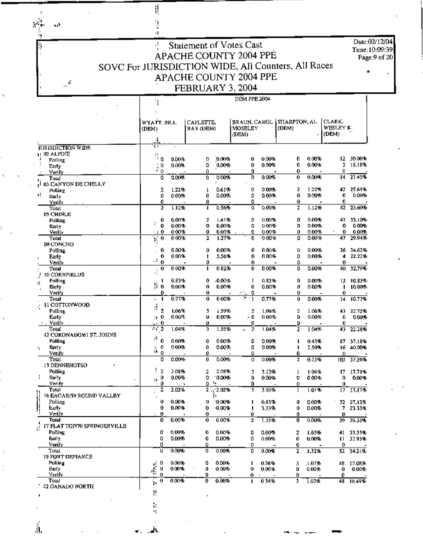$\mathcal{L}$  $\sim$ 

 $\mathcal{S}$ 

ļķ

 $\hat{\mathbb{I}}$ 

Date:02/12/04 Time: 10:09:39 Page:9 of 20

### Statement of Votes Cast र् **APACHE COUNTY 2004 PPE** SOVC For JURISDICTION WIDE, All Counters, All Races APACHE COUNTY 2004 PPE FEBRUARY 3, 2004

ŗ.

٠,

|                                 | ¥                         |          |                        |          | DEM PPE 2004                     |          |                        |                              |                      |
|---------------------------------|---------------------------|----------|------------------------|----------|----------------------------------|----------|------------------------|------------------------------|----------------------|
|                                 | WYATT, BILL<br>(DEM)      |          | CAPLETTE,<br>RAY (DEM) |          | BRAUN, CAROL<br>MOSELEY<br>(DEM) |          | SHARPTON, AL-<br>(DEM) | CLARK,<br>WESLEY K.<br>(DEM) |                      |
|                                 | ۸.                        |          |                        |          |                                  |          |                        |                              |                      |
| <b>IURISDICTION WIDE</b>        | n, e                      | $\cdot$  |                        |          |                                  |          |                        |                              |                      |
| $\mu$ 02 ALPINE<br>Polling      | p.<br>ΞO                  | 0.00%    | 0                      | 0.00%    | 0                                | 0.00%    | 0<br>$0.00\%$          | 12.                          | 30.00%               |
| Farly                           | 10                        | 0.00%    | 0                      | 0.00%    | Ð                                | 0.00%    | 0<br>0.00%             | 2                            | 18.18%               |
| Verify                          | $\overline{\cdot}$ 0      |          | 0.                     |          | 0                                |          | 0                      | 0                            |                      |
| لتنانT                          | 0                         | 0.00%    | 0                      | 0.00%    | Ď                                | 0.00%    | 0.00%<br>0             | 14                           | 27.45%               |
| I 03 CANYON DE CHELLY           |                           |          |                        |          |                                  |          |                        |                              |                      |
| Polling<br>٠ï.                  | 2                         | 1.22%    | ı                      | 0.61%    | ٥                                | 0.00%    | 2<br>1.22%             | 42.                          | 25.61%               |
| Early                           | 0<br>0                    | 0.00%    | 0<br>Û                 | 0.00%    | 0<br>0                           | 0.00%    | 0<br>0.00%<br>0        | O<br>o                       | 0.00%                |
| Verify<br>Total                 | 2                         | 1.12%    | п                      | 0.56%    | û                                | 0.00%    | 2<br>1.12%             | 42                           | 23.60%               |
| <b>05 CHINLE</b>                |                           |          |                        |          |                                  |          |                        |                              |                      |
| Polling                         | 0                         | 0.00%    | 2                      | 1.41%    | ٥                                | $0.00\%$ | 0.00%<br>D             | 47.                          | 33.10%               |
| Early                           | t<br>0                    | 0.00%    | 0                      | 0.00%    | 0                                | 0.00%    | 0.00% .<br>D           | 0                            | 0.00%                |
| Verily                          | 440                       | 000%     | 0                      | 0.00%    | 0                                | 0.00%    | 0.00%<br>0             | 0<br>٠                       | 0.00%                |
| Total                           | Ŧ<br>0                    | $0.00\%$ | 2                      | 1.27%    | 0                                | 0.00%    | 0.00%<br>0             | 47                           | 29.94%               |
| <b>D9 CONCHO</b>                | 0                         | 0.00%    | Û                      | 0.00%    | 0                                | 0.00%    | 0.00%<br>Ü             |                              |                      |
| Polling<br>Early                | $\ddot{\phantom{0}}$<br>0 | 0.00%    | J                      | 5.56%    | 0                                | 0.00%    | 0.00%<br>D             | 36<br>4                      | 34.62%<br>22.22%     |
| Verify                          | а<br>0                    |          | o                      |          | 0                                |          | 0                      | 0                            |                      |
| Total                           | 0                         | 0.00%    | п                      | 082%     | 0                                | $0.00\%$ | 0.00%<br>٥             | 40                           | 32.79%               |
| <b>30 CORNFIELDS</b>            | ą                         |          |                        |          |                                  |          |                        |                              |                      |
| Polling<br>ı!                   | 1                         | 0.83%    | 0                      | $-0.00%$ | t                                | $0.83\%$ | o<br>0.00%             | 13                           | 10.83%               |
| Farly                           | Ŷ,<br>0                   | 0.00%    | 0                      | 0.00%    | 0                                | 0.00%    | 0<br>0.00%             | т                            | 10.00%               |
| Verify                          | o                         |          | 0                      |          | 0<br>≪w                          |          | 0                      | 0                            |                      |
| Total                           | . . 1                     | 0.77%    | 0                      | 000%     | $\mathbf{1}$                     | 0.77%    | 0.00%<br>Û             | 14                           | 10.77%               |
| 11 COTTONWOOD                   | d<br>2                    | 1.06%    | 3                      | 1.59%    | 2                                | 1.06%    | 2<br>1.06%             |                              |                      |
| Polling<br>Early                | $\sim 0$                  | 0.00%    | Ü                      | 0.00%    | . 0                              | 0.00%    | D<br>0.00%             | 43.<br>0                     | 22.75%<br>$0.00 - 5$ |
| r - Verify                      | $\sim 0$                  |          | Ü                      |          | Ω                                |          | D                      | 0                            |                      |
| Total                           | 衬<br>$\overline{2}$       | 1.04%    | 3                      | 1.55%    | $\mathbf 2$<br>A.                | 1.04%    | z<br>1.04%             | 43                           | 22.28%               |
| 12 CORONADO/61 ST. JOHNS        |                           |          |                        |          |                                  |          |                        |                              |                      |
| Polling                         | ø,<br>0                   | 0.00%    | 0                      | 0.00%    | 0                                | 0.00%    | 0.43%<br>ı             | 87                           | 37.18%               |
| Barly<br>٠,                     | 0<br>Ì,                   | 0.00%    | 0                      | 0.00%    | 0                                | 0.00%    | 2.50%<br>ı             | 16                           | 40.00%               |
| Verify                          | o                         |          | 0                      |          | Û                                |          | Û                      | ٥                            |                      |
| Toml<br><b>13 DENNEHOTSO</b>    | 0                         | 0.00%    | Û                      | 0.00%    | 0                                | $0.00\%$ | 0.73%<br>2             | 103.                         | 37.59%               |
| Polling                         | 1 <sub>2</sub>            | 2.08%    | 2                      | 2.08%    | 3                                | 3.13%    | 1.04%<br>T             | 17                           | 17.71%               |
| <b>Barly</b>                    | 0                         | 0.00%    | 0                      | 0.00%    | 0                                | 0.00%    | 0<br>0.00%             | 0                            | $0.00 -$             |
| Verify                          | Ą<br>0                    |          | 0                      | ÷.       | đ                                |          | 0                      | o                            |                      |
| Total                           | 2                         | 2.02%    |                        | 22.02%   | 3                                | 3.03%    | 1.01%<br>ı             | 17                           | 17.17%               |
| <b>16 EAGAR/59 ROUND VALLBY</b> |                           |          |                        | ğa.      |                                  |          |                        |                              |                      |
| Polling                         | 0                         | 0.00%    | 0                      | ' 0.00%  |                                  | 0.85%    | 0<br>0.00%             |                              | 32 27.12%            |
| Early.                          | 0                         | 0.00%    | 0                      | $-0.00%$ |                                  | 3.33%    | 0<br>0.00%             |                              | 7 23.33%             |
| Verify<br><b>Total</b>          | 0<br>o                    | 0.00%    | 0.<br>0                | 0.00%    | 0.                               |          | 0.<br>0.00%            | 0                            |                      |
| 17 FLAT TOP/70 SPRINGERVILLE    |                           |          |                        |          | 2                                | 1.35%    | 0                      |                              | $39 - 26.35%$        |
| Polling                         | 0                         | 0.00%    | 0                      | 0.00%    | 0                                | 0.00%    | 2<br>1.63%             |                              | 41 33.33%            |
| Farly                           | 0                         | 0.00%    | 0                      | 0.00%    | 0                                | 0.00%    | Û<br><b>U.DO%</b>      |                              | $11 - 37.93%$        |
| Verify                          | 0                         |          | Û                      |          | 0                                |          | 0                      | 0                            |                      |
| Total                           | υ                         | 0.00%    | 0                      | 0.00%    | 0                                | 0.00%    | 1.32%<br>2             | 52.                          | 34.21%               |
| 19 FORT DEFIANCE                |                           |          |                        |          |                                  |          |                        |                              |                      |
| Polling                         | 0                         | 0.00%    | 0                      | 0.00%    | п                                | 0.36%    | 1.07%<br>F,            |                              | 48 17.08%            |
| Early                           | 4<br>o                    | 0.00%    | 0                      | 0.00%    | 0                                | 0.00%    | Û<br>0.00%             | 0                            | 0.00%                |
| Verify<br>Total                 | $\mathbf{0}$<br>0         | 0.00%    | o<br>O                 | 0.00%    | 0<br>п                           | 034%     | 0.<br>3<br>1.03%       | 0                            | 48 16.49%            |
| 22 GANADO NORTH                 | Į.                        |          |                        |          |                                  |          |                        |                              |                      |
|                                 | 3,                        |          |                        |          |                                  |          |                        |                              |                      |

à,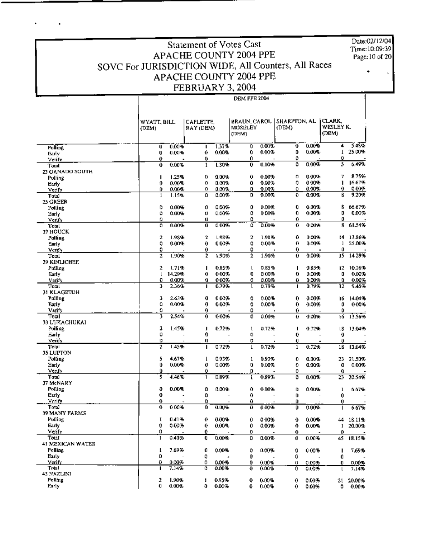Date:02l12104 Time:1O:D9:39 Page:10 of 20

•

### Statement of Votes Cast APACHE COUNTY 2004 PPE SOVC For JURISDICTION WIDE, All Counters, All Races APACHE COUNTY 2004 PPE FEBRUARY 3, 2004

×

DEM PPE 2004

o 0.00% o 0.00'"' o 0,00'"' o 0,00% o 000'"' WYATT, BILL  $|$  CAPLETTE,  $|$  REAUN. CAROL  $|$  SHARPTON, AL  $|$  CLARK,  $|$  (DEM)  $|$  WESLEY K. WYATT, BILL CAPLETTE, BRAUN CAROL SHARPTON, AL CLARK, WESLEY K.<br>
(DEM) RAY (DEM) MOSELEY (DEM) (DEM) (DEM) (DEM)  $(DEM)$   $[CDEM]$ - .\_\_ .  $\text{Pelling}$ WYATT, BILL CAPLETT<br>
Polling<br>
Polling<br>
Verify<br>
Verify<br>
Total 0 0.00% 1  $\frac{0}{2}$ 0.00% <sup>0</sup> 0'<10% • <u>ດ.ດວ\$</u><br>0.00% ວັ  $\begin{array}{r} 0.00\% \hline 4 & 5.48\% \\ 0.00\% & 1.25.00\% \\ \hline 0.00\% & 5.6.49\% \end{array}$ V<rifv <sup>0</sup> . , <sup>0</sup>  $\begin{array}{ccc} 0 & 0.00\% & 4 \ 0 & 0.00\% & 1 \ 0 & \frac{1}{2} & 0 \end{array}$  $\frac{V_{\text{crit}}}{V_{\text{crit}}}$  ,  $\frac{0}{0.00\%}$  ,  $\frac{0}{1.30\%}$  ,  $\frac{0}{0.00\%}$  ,  $\frac{0}{1.30\%}$  ,  $\frac{0}{0.00\%}$  $\frac{0.00\%}{0.00\%}$  0 0.00% 1 25.00%<br>
0 0.00% 5 6.49% 23 GANADO SOUTH Polling , and the contract of the contract of the contract of the contract of the contract of the contract of the contract of the contract of the contract of the contract of the contract of the contract of the contract of  $0$   $0.00\%$   $1$   $1.50\%$   $0$ <br> $0.00\%$   $0.000\%$   $0.000\%$   $0.000\%$   $0.000\%$   $0.000\%$   $0.000\%$   $0.000\%$   $0.000\%$   $0.000\%$   $0.000\%$   $0.000\%$   $0.000\%$   $0.000\%$   $0.000\%$   $0.000\%$   $0.000\%$   $0.000\%$   $0.000\%$   $0$ 0.00% 0 0.00% 7 <mark>8.75</mark>%<br>0.00% 0 0.00% 1 16.67%  $\frac{V \text{erify}}{V \text{Total}}$  .  $\frac{0}{1}$  $\frac{1.25\%}{0.00\%}$  0  $\frac{0.00\%}{0.00\%}$  0  $\frac{0.00\%}{0.00\%}$  0  $\frac{0.00\%}{0.00\%}$  0  $\frac{0.00\%}{0.00\%}$  0  $\frac{0.00\%}{0.00\%}$  0  $\frac{0.00\%}{0.00\%}$  0  $\frac{0.00\%}{0.00\%}$  0  $\frac{0.00\%}{0.00\%}$  0  $\frac{0.00\%}{0.00\%}$  0  $\frac{8}{9}$  $0.00\%$  1  $1.667\%$ <br>  $0.00\%$  0 000%<br>
0.00% 8 9.20% ,~ , 1.11'" <sup>0</sup> ".~ , o~ " 0.00% 1 |6.67%<br>0.00% 0.00%<br>0.00% 8 9.20% 25GREER Polling  $0000$ 0.00%E 0 0.00%E 0<br>ዕ∩∩%E 0 0.00%E 0 ,,~• 0.00'" , '6.0'''' "ad, , O~  $\begin{array}{cccccccc} \hline 1 & 1.30\% & 0 & 0.00\% & 0 & 0.00\% & 5 & 6.499 \\ 0 & 0.00\% & 0 & 0.00\% & 0 & 0.00\% & 7 & 8.759 \\ 0 & 0.00\% & 0 & 0.00\% & 0 & 0.00\% & 1 & 16.679 \\ 0 & 0.00\% & 0 & 0.00\% & 0 & 0.00\% & 0 & 0.00\% \\ 0 & 0.00\% & 0 & 0.00\% & 0 & 0.00\% & 8$ Verify  $\frac{1}{0.00\%}$  0  $\begin{array}{ccccccc} 0 & 0.00\% & & 0 & 0.00\% & & 0 \\ 0 & 0.00\% & & 0 & 0.00\% & & 0 \\ 0 & & & 0 & & 0.00\% & & 0 \end{array}$  $\frac{1}{\text{Corrify}}$  , 0.00% 0.00% 0.00% 0.00% 0.00% 0.00% 0.000% 0.000% 0.000% 0.000% 0.000% 0.000% 0.000% 0.000% 0.000% 0.000% 0.000% 0.000% 0.000% 0.000% 0.000% 0.000% 0.000% 0.000% 0.000% 0.000% 0.000% 0.000% 0.000% 0.000% 11 HOUCK Polling<br>Barly  $\frac{0}{2}$  $\frac{1}{0.00\%}$  (0)<br>1.98% 2 <u>ว</u>00% – อี<br>เ.98% – 2  $\begin{array}{ccccccccc} 0.01\% & 0 & 0.00\% & 0 & 0.00\% \\ \hline 0.01\% & 0 & 0.00\% & 8 & 9.20\% \\ \hline 0.01\% & 0 & 0.00\% & 8 & 9.20\% \\ \hline 0.00\% & 0 & 0.00\% & 0 & 0.00\% \\ \hline 0.00\% & 0 & 0.00\% & 8 & 6.67\% \\ \hline 0.00\% & 0 & 0.00\% & 8 & 61.54\% \\ \hline 0.00\% & 0 &$ 13.84%<br>
13.86%<br>
13.86%<br>
13.86%<br>
13.86%<br>
13.86%<br>
13.86%<br>
13.86%<br>
13.86%<br>
13.86%<br>
13.86%<br>
13.86%<br>
2 .98% 2 1.98% 2 1.98% 0 0.00% 14 13.86%<br>
2 .98% 0 0.00% 0 0.00%<br>
13.86%<br>
2 .98% 0 0.00% 0 0.00%<br>
13.86%<br>
2 .98% 0 0.00% 0 0.0 Politing (1989)<br>Politing (1989) 2 1,9896 2 1,9895 0 0,0096 14<br>Politing (1989) 0 0,00096 0 0,00096 0 0,00096 1 0<br>Verify (1989) 0 ... 0 ... 0 ... 0 ... 0 ... 0 ... 0 ... 0 ... 0 ... 0 ... 0 ... 0 ... 0 ... 0 ... 0 ... 0 ... Pointy<br> **Early**<br>
<u>Verify 0</u><br>
Total 1999  $\frac{1.90\%}{0.00\%}$  ,  $\frac{0.00\%}{0.90\%}$  ,  $\frac{0}{2}$  ,  $\frac{0.90\%}{0.90\%}$  ,  $\frac{0}{2}$  ,  $\frac{0.90\%}{0.90\%}$  ,  $\frac{0}{2}$  ,  $\frac{0}{2}$  ,  $\frac{0}{2}$  ,  $\frac{0}{2}$  ,  $\frac{0}{2}$  ,  $\frac{0}{2}$  ,  $\frac{0}{2}$  ,  $\frac{0}{2}$  ,  $\frac{0}{2}$  ,  $\begin{array}{ccccc}\n0.00\% & & & & & 14 \\
0.00\% & & & & & \\
\hline\n0.00\% & & & & & 15 \\
0.85\% & & & & & \\
\hline\n\end{array}$  $15$  14 29% 19 KINl.ICHEf. Polling<br>
Polling , 2. 1.98% , 2. 1.98% , 0.000% , 14.13.86%<br>
Poling , 0.000% , 0.000% , 0.000% , 0.000% , 12.100%<br>
Poling , 2. 1.71% , 1.0.85% , 1.0.85% , 1.0.85% , 1.0.26%<br>
Poling , 2. 1.71% , 1.0.85% , 1.0.85% , 1.0.85%  $\begin{array}{cccc} 2 & 1.71\% & & 1 & 0.85\% \\ 1 & 14.29\% & & 0 & 0.00\% \\ 0 & 0.00\% & & 0 & 0.00\% \end{array}$  $\frac{0}{0}$ 0.85%= I 0.85%= I2<br>0.00%= 0 0.00%= 0<br>0.00%= 0 0.00%= 0  $0.00%$ vorilv • 0.00% 0 0.00<mark>% 0</mark><br>كان 10.79% 1  $\begin{array}{ccccccccc}\n & 0.00\% & 0.00\% & 1 & 13.86\%\\
0.00\% & 0 & 0.00\% & 1 & 25.00\%\\
\hline\n & 0 & 0.00\% & 1 & 25.00\%\\
\hline\n & 0 & 0.00\% & 15 & 14.29\%\\
0.85\% & 1 & 0.85\% & 1 & 2 & 10.26\%\\
0.00\% & 0 & 0.00\% & 0 & 0.00\%\\
\hline\n & 0.00\% & 0 & 0.00\% & 0$ 0.00% Total , 2.36% , 0.89% , 0.89% , 0.89% , 0.89% , 0.89% , 0.89% , 0.89% , 0.89% , 0.89% , 0.89% , 0.89% , 0.89% , 0.89% , 0.89% , 0.89% , 0.89% , 0.89% , 0.89% , 0.89% , 0.89% , 0.89% , 0.89% , 0.89% , 0.89% , 0.89% , 0.89%  $\frac{0}{12}$  $.45%$ 31 KLAGETOH<br>Polling POm"~ , 2.0.1% • '00" <sup>0</sup> 0.00'"' <sup>0</sup> O~ "  $\frac{14.04\%}{0.00\%}$ V<rif, , <sup>0</sup> <sup>0</sup> <sup>0</sup> • Polling<br>
Polling<br>
Hariy , 2009, 2009, 2009, 2009, 2009, 2009, 2009, 2009, 2009, 2009, 2009, 2009, 2009, 2009, 2009, 2009, 2009, 2009, 2009, 2009, 2009, 2009, 2009, 2009, 2009, 2009, 2009, 2009, 2009, 2009, 2009, 2009, 2009 16 13.56% 33 LUKACHUKAI<br>Polling Polling , 2.54% , 0.00% , 0.00% , 0.00% , 0.00% , 0.00% , 0.00% , 0.00% , 0.00% , 0.00% , 0.00% , 0.00% , 0.00% , 0.00% , 0.00% , 0.00% , 0.00% , 0.00% , 0.00% , 0.00% , 0.00% , 0.00% , 0.00% , 0.00% , 0.00% , 0.00% , 0.00 1,.04% example of the control of the control of the control of the control of the control of the control of the control of the control of the control of the control of the control of the control of the control of the control of t  $\frac{1}{1}$   $\frac{1}{1}$   $\frac{1}{1}$   $\frac{1}{1}$ 0<br>0 Verify  $\frac{0}{0}$  $\frac{0}{2}$  $\frac{0}{1}$ 0  $\begin{array}{cccc} 1 & 0.72\% & & & 18 \\ 0 & & - & & 0 \\ 0 & & & 0 & \end{array}$ Total<br>Total , 1.45% , 0,72% , 0,72% , 0,72% , 0,81% , 0,81% , 0,81% , 0,81% , 0,81% , 0,81% , 0,81% , 0,81% , 0,81%<br>Total , 1.45% , 0,02% , 0,02% , 0,02% , 0,01% , 0,01% , 0,01% , 0,01% , 0,01% , 0,01% , 0,01% , 0,01% , 0, I<sub>3.04%</sub><br>21.50%<br>0.00% J5 LUPTON rol~1lll , <,67% , 0.9391- , 0.93'" 0<br>0<br>0  $0.00%$  $\begin{bmatrix} 23 & 21.50\% \\ 0 & 0.00\% \\ 0 & 0 \end{bmatrix}$ 21.50% ~" "  $\begin{array}{cccccccc} 2.54\% & 0 & 0.00\% & 0 & 0.00\% & 0 & 0.00\% \\ 1.45\% & 1 & 0.72\% & 1 & 0.72\% & 1 & 0.72\% \\ 0 & - & 0 & 0 & 0 & 0 \\ \hline 1.45\% & 1 & 0.72\% & 1 & 0.72\% & 1 & 0.72\% \\ 1.45\% & 1 & 0.72\% & 1 & 0.72\% & 1 & 0.72\% \\ 4.67\% & 1 & 0.93\% & 1 & 0.93\$  $0.00%$ <u>Verify 0 - 0</u><br>Total 5 4.46% 1  $\begin{array}{ccccccc}\n & 0.93\% & & 0 & 0.00\% \\
 & 0 & 0.00\% & & 0 & 0.00\% \\
 & & & & & \n\end{array}$ •  $0.00%$ Poling<br>
Poling<br>
Poling<br>
Poling<br>
Verify , 0.00% 0 0,00% 0 0,00% 0 0,00% 0 0,00%<br>
Poling<br>
McNARY<br>
McNARY<br>
McNARY<br>
McNARY<br>
McNARY<br>
Dolling<br>
Dolling<br>
Dolling<br>
Dolling<br>
Dolling<br>
Dolling<br>
Dolling<br>
Dolling<br>
Dolling<br>
Dolling<br>
Dol 20,54% 17 M<NARY Pollio. •  $0.00%$  0 0.00%<br>0 0 " 0.00% ט<br>0<br>0 0.00% , ,."'" E..-1y • . <sup>0</sup>  $\begin{array}{c} 0 \\ 0 \end{array}$  .  $\begin{array}{c} 0 \\ 0 \end{array}$  $\begin{matrix} 0 \\ 0 \end{matrix}$ Early **1996**<br>Verif<del>y 1996 - John Den 1999 - 1999 - 1999 - 1999 - 1999 - 1999 - 1999 - 1999 - 1999 - 1999 - 1999 - 1999 - 1999</del> ō  $\frac{1}{2}$ ا به بن من المسلم بن من المسلم بن المسلم بن المسلم بن المسلم بن المسلم بن المسلم بن المسلم بن المسلم بن المسلم<br>1960. • بن المسلم بن المسلم بن المسلم بن المسلم بن المسلم بن المسلم بن المسلم بن المسلم بن المسلم بن المسلم بن  $\overline{0.00\%}$  $\frac{0}{0.107}$  ,  $\frac{0}{0.007}$  ,  $\frac{0}{0.678}$  ,  $\frac{0}{0.678}$ 39 MANY FARMS<br>Polling <u>Verify 0</u><br>
Total 5 4.46% 1 0.89% 1 0.89% 0 0.00% 23 20.54%<br>
McNARY<br>
Polling 0 0.00% 0 0.00% 0 0.00% 0 0.00% 1 6.57%<br>
Early 0 0.00% 0 0.00% 0 0.00% 0 0.00% 1 6.57%<br>
MANY FARMS<br>
Polling 1 0.41% 0 0.00% 0 0.00% 0 0.00% 1 6 , 0.00% 0 0.00% 0 0.00% 0 0.00% 0 0.00%<br>1 0.41% 0 0.00% 0 0.00% 0 0.00% 0 1.8.11%<br>1 0.00% 0 0.00% 0 0.00% 0 0.00% 1 20.00% Veri! ,  $\frac{0}{0}$  $\begin{array}{ccccccc}\n 0 & 0.00\% & & 0 & 0.00\% \\
 0 & 0.00\% & & 0 & 0.00\% \\
 \hline\n 0 & & & 0 & & \end{array}$  $\frac{1}{5}$  18.15% 20.00% "" , 0.40% •  $\begin{array}{ccccccccc} 0.00\% & & 0 & 0.00\% & & 0 & 0.00\% & & 44 \ 0.00\% & & 0 & 0.00\% & & 0 & 0.00\% & & 1 \ \hline & & & & & & & & 0 & & 0 \ 0.00\% & & 0 & 0.00\% & & 0 & 0.00\% & & 45 \end{array}$ 4' MEXICAN WATER<br>Polling 1 1 7.69% 0  $\frac{0}{0.00\%}$   $\frac{0}{0.00\%}$   $\frac{0}{0.00\%}$   $\frac{0}{0.00\%}$   $\frac{0}{0.00\%}$   $\frac{0}{0.00\%}$   $\frac{0}{1.769\%}$ <br>  $\frac{0.00\%}{0.00\%}$   $\frac{0}{0.00\%}$   $\frac{0}{1.769\%}$ Polling (\* 1888)<br>Early (\* 1888)<br>Verify (\* 1888) 0 0.00%<br>0 0.00%<br>0 0.00%  $\begin{matrix}0&\cdot&\cdot&0\0&0.00\%\cdot&\cdot&0\end{matrix}$ 0 V,rlf.,- • "  $\frac{0}{0}$  $\frac{0.00\%}{0.00\%}$  = 0<br>0.00% = 0<br>0.00% = 0  $\frac{0}{9}$  $\frac{0.00%}{0.00%}$  – 0 ,~ ,~" , 7.14'" , OJlL)% <sup>0</sup> OJ",% " 0,009<del>%</del> 0 0,00<mark>9%</mark><br>0,00% l 7,14% 43 NAZLINI 1.90% , 0.00% , 0.00% , 0.00% , 0.00% , 0.00% , 0.00% , 0.00% , 0.00% , 0.00% , 0.00% , 0.00% , 0.00% , 0.00% , 0.00% , 0.00% , 0.00% , 0.00% , 0.00% , 0.00% , 0.00% , 0.00% , 0.00% , 0.00% , 0.00% , 0.00% , 0.00% , 0.00% 20,00% Poling<br>Poling 2 1.90%<br>Parly 6 0.00%  $^{\circ}$  $0.95\%$   $0.00\%$   $0.00\%$   $0.00\%$  $0.00\%$  0 0.00% 2.1<br> $0.00\%$  0 0.00% 0  $\frac{1}{7,14\%}$ <br>0.00%<br>0.00%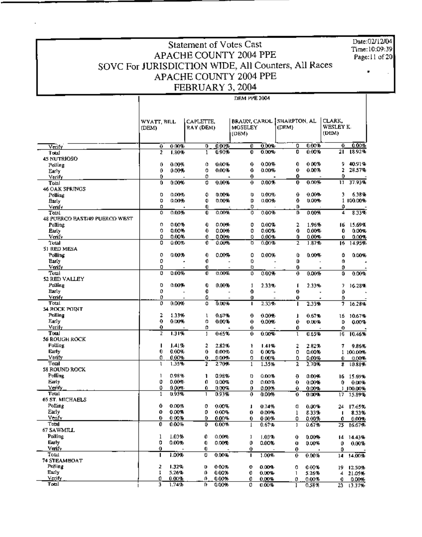Date:02/12/04 Time:10:09:39 Page:11 of 20

## Statement of Votes Cast APACHE COUNTY 2004 PPE SOVC For JURISDICTION WIDE, All Counters, All Races APACHE COUNTY 2004 PPE FEBRUARY 3, 2004

|                               | WYATT, BILL<br>(DEM) |                | CAPLETTE,<br>RAY (DEM) |                   | <b>BRAUN, CAROL</b><br>MOSELEY<br>(DEM) |                   | ISHARPTON, AL<br>(DEM) |                | CLARK.<br>WESLEY K<br>(DEM) |             |
|-------------------------------|----------------------|----------------|------------------------|-------------------|-----------------------------------------|-------------------|------------------------|----------------|-----------------------------|-------------|
|                               | 0                    | 0.00%          | 0                      | 0.00%             | Û                                       | 0.00%             | 0                      | 0.00%          | 0                           | 0.00%       |
| Verify<br>Total               | 2                    | 1.80%          | 1                      | 0.90%             | G.                                      | 0.00%             | O                      | 0.00%          | $\overline{21}$             | 18.92%      |
| 45 NUTRIOSO                   |                      |                |                        |                   |                                         |                   |                        |                |                             |             |
| Polling                       | 0                    | 0.00%          | 0.                     | 0.00%             | 0                                       | 0.00%             | 0                      | 0.00%          | 9                           | 40.91%      |
| Early                         | 0                    | 0.00%          | 0                      | 0.00%             | 0                                       | 0.00%             | 0                      | $0.00\%$       | 2                           | 28.57%      |
| Verify                        | 0                    |                | 0                      |                   | 0                                       |                   | 0                      |                | 0                           |             |
| Total                         | 0                    | 0.00%          | 0                      | 0.00%             | $\mathbf 0$                             | 0.00%             | 0                      | 0.00%          | H.                          | 37.93%      |
| 46 OAK SPRINGS<br>Polling     | o                    | 0.00%          | 0                      | 0.00%             | Ü                                       | 0.00%             | 0                      | $0.004 -$      | э                           | 6.38%       |
| Early                         | O                    | 0.00%          | 0                      | 0.00%             | D                                       | 0.00%             | ٥                      | 0.00%          |                             | 1100.00%    |
| Veniv                         | o                    |                | 0                      |                   | o                                       |                   | D                      |                | ٥                           |             |
| Total                         | 0                    | 0.00%          | O                      | 0.0096            | 0                                       | 0.00%             | D                      | 0.00%          | 4                           | 8.33%       |
| 48 PUERCO EAST/49 PUERCO WEST |                      |                |                        |                   |                                         |                   |                        |                |                             |             |
| Polling                       | 0                    | 0.00%          | 0                      | 0.00%             | 0                                       | $0.00\%$          | 2                      | 1.96%          | 16                          | 15.69%      |
| Early                         | 0                    | 0.00%          | 0                      | 0.00%             | 0                                       | 0.00%             | 0                      | 0.00%          | 0                           | 0.00%       |
| Verify                        | 0                    | 0.00%          | 0                      | 0.00%             | 0                                       | 0.00%             | 0                      | 0.00%          | Ü                           | 0.00%       |
| Total<br>51 RED MESA          | 0                    | 0.00%          | 0                      | 0.OU%             | D                                       | 0.00%             | 2                      | 1.87%          | 16                          | 14.95%      |
| Polling                       | 0                    | 0.00%          | 0                      | 0.00%             | 0                                       | 0.00%             | ٥                      | 0.00%          | ٥                           | 0.00%       |
| Early                         | 0                    |                | 0                      |                   | 0                                       |                   | Û                      |                | 0                           |             |
| Verify                        | 0                    |                | Û                      |                   | o                                       |                   | 0                      |                | 0                           |             |
| Total                         | 0                    | 0.00%          | 0                      | 0.00%             | ø                                       | 0.00%             | 0                      | 0.00%          | 0                           | 0.00%       |
| 52 RED VALLEY                 |                      |                |                        |                   |                                         |                   |                        |                |                             |             |
| Polling                       | 0                    | 0.00%          | 0                      | 0.00%             | 1                                       | 2.33%             | 1                      | 2.33%          | 7                           | 16.28%      |
| Early                         | 0                    |                | 0                      |                   | Û                                       |                   | 0                      |                | 0                           |             |
| Veniy<br>Total                | 0<br>ø               |                | 0                      |                   | Ð                                       |                   | 0                      |                | 0                           |             |
| 54 ROCK POINT                 |                      | 0.00%          | Û                      | 0.00%             | п                                       | 2.33%             | г                      | 2.33%          | 7                           | 16.28%      |
| Polling                       | 2                    | 1.33%          | ı                      | 0.67%             | 0                                       | 0.00%             | ı                      | 0.67%          | 16                          | 10.67%      |
| Early                         | 0                    | 0.00%          | 0                      | 0.00%             | 0                                       | 0.00%             | 0                      | 0.00%          | D                           | 0.00%       |
| Verify                        | 0                    |                | 0                      |                   | 0                                       |                   | 0                      |                | 0                           |             |
| Total                         | z                    | 1.31%          | 1                      | 0.65%             | 0                                       | 0.00%             | ı                      | 0.65%          | 16                          | 10.46%      |
| 56 ROUGH ROCK                 |                      |                |                        |                   |                                         |                   |                        |                |                             |             |
| Polling                       | ı                    | 1.41%          | 2                      | 2.82%             | ī                                       | 1.41%             | 2                      | 2.82%          | 7                           | 9.86%       |
| Early                         | 0                    | 0.00%          | Û                      | 0.00%             | 0                                       | $0.00\%$          | 0                      | 0.00%          |                             | 1 100.00%   |
| Veify<br>Total                | ٥<br>ı               | 0.00%<br>1.35% | 0<br>2                 | 0.00%<br>2.70%    | 0<br>1                                  | $0.00\%$<br>1.35% | 0<br>2                 | 0.00%<br>2.70% | Û.                          | 0.00%       |
| <b>58 ROUND ROCK</b>          |                      |                |                        |                   |                                         |                   |                        |                | B                           | 10.81%      |
| Polling                       | 1                    | 0.98%          | 1                      | 0.98%             | o                                       | 0.00%             | Ð                      | 0.00%          | 16.                         | 15.69%      |
| Early                         | 0                    | 0.00%          | 0                      | 0.00%             | o                                       | 0.00%             | 0                      | 0.00%          | 0.                          | 0.00%       |
| Verify                        | 0                    | 0.00%          | 0.                     | 0.00%             | 0                                       | 0.00%             | 0.                     | 0.00%          |                             | 1100.00%    |
| Total                         | 1                    | 0.93%          | 1                      | 0.93%             | 0                                       | 0.00%             | 0                      | 0.00%          | 17                          | 15.89%      |
| 65 ST. MICHAELS               |                      |                |                        |                   |                                         |                   |                        |                |                             |             |
| Polling                       | 0                    | 0.00%          | ٥                      | $0.00\%$          | 1                                       | 0.74%             | O                      | 0.00%          | 24                          | 17.65%      |
| Early                         | 0                    | 0.00%          | 0                      | 0.00%             | 0                                       | 0.DD%             | 1                      | 8.33%          | п                           | 8.33%       |
| Venty<br>Total                | 0<br>0               | 000%<br>0.00%  | 0<br>D                 | 0.00%<br>$0.00\%$ | v<br>$\mathbf{I}$                       | 000%<br>0.67%     | 0                      | 0.00%          |                             | $0 - 0.00%$ |
| 67 SAWMILL                    |                      |                |                        |                   |                                         |                   | ı                      | 0.67%          | 25                          | 16.67%      |
| Polling                       | 1                    | 1.03%          | 0                      | 0.00%             | ı                                       | 1.03%             | 0                      | 0.00%          | 14.                         | 14.43%      |
| Early                         | 0                    | 0.00%          | 0                      | 0.00%             | 0                                       | 0.00%             | Ü                      | 0.00%          | 0                           | 0.00%       |
| Verify                        | 0                    |                | 0                      |                   | 0                                       |                   | 0                      |                | 0                           |             |
| Тоы                           | п                    | 1.00%          | Û                      | 0.00%             | п                                       | 1.00%             | 0.                     | 0.00%          | 14                          | 14.00%      |
| 74 STEAMBOAT                  |                      |                |                        |                   |                                         |                   |                        |                |                             |             |
| Polling                       | 2                    | 1.32%          | o                      | 0.00%             | 0                                       | 0.00%             | o                      | 0.00%          | 19                          | 12.50%      |
| Early                         | 1                    | 5.26%          | o                      | 0.00%             | 0                                       | 0.00%             | 1                      | 5.26%          | 4                           | 21.05%      |
| Verify<br>Total               | 0<br>з               | 0.00%<br>1.74% | 0<br>n                 | 0.00%<br>0.00%    | 0                                       | 0.00%             | 0                      | 0.00%          | 0                           | 0.00%       |
|                               |                      |                |                        |                   | 0                                       | 0.00%             | ı                      | 0.58%          | 23                          | 13.37%      |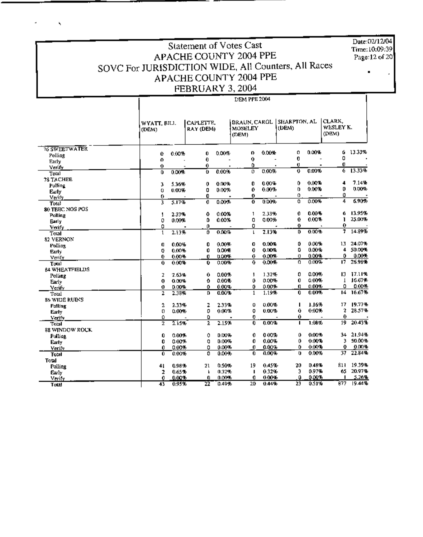Date:02/12/04 Time: 10:09:39 Page: 12 of 20

## Statement of Votes Cast APACHE COUNTY 2004 PPE SOVC For JURISDICTION WIDE, All Counters, All Races APACHE COUNTY 2004 PPE FEBRUARY 3, 2004

DEM PPE 2004

 $\hat{\mathbf{x}}$ 

ä,

 $\blacksquare$ 

 $\mathsf{I}$ 

|                         |                      |                |                        |                | DEM PPE 2004                            |       |                       |                    |                              |                 |
|-------------------------|----------------------|----------------|------------------------|----------------|-----------------------------------------|-------|-----------------------|--------------------|------------------------------|-----------------|
|                         | WYATT, BILL<br>(DEM) |                | CAFLETTE.<br>RAY (DEM) |                | <b>BRAUN, CAROL</b><br>MOSELEY<br>(DEM) |       | SHARPTON, AL<br>(DEM) |                    | CLARK,<br>WESLEY K.<br>(DEM) |                 |
| <b>76 SWEETWATER</b>    |                      |                |                        |                | 0                                       | 0.00% | 0                     | 0.00%              | 6                            | 13.33%          |
| Polling                 | Û                    | 0.00%          | 0<br>0                 | 0.00%          | 0                                       |       | 0                     |                    | 0                            |                 |
| Early                   | 0<br>$\mathbf 0$     |                | 0                      |                | 0                                       |       | Ű                     |                    | o                            |                 |
| Verify                  | Û                    | 0.00%          | T                      | 0.00%          | $\overline{0}$                          | 0.00% | 0                     | 0.00%              | 6                            | 13.33%          |
| Total                   |                      |                |                        |                |                                         |       |                       |                    |                              |                 |
| 78 TACHEE               | 3                    | 5.36%          | 0                      | 0.00%          | 0                                       | 0.00% | 0                     | 0.00%              | 4                            | 7.14%           |
| Polling<br>Early        | 0                    | 0.00%          | 0                      | 0.00%          | 0                                       | 0.00% | 0                     | 0.00%              | 0                            | 0.00%           |
| Verify.                 | 0                    |                | 0                      |                | 0                                       |       | 0                     |                    | ٥                            |                 |
| Total                   | 3                    | 5.17%          | 0                      | 0.00%          | $\mathbf 0$                             | 0.00% | o                     | 0.00%              | 4                            | 6.90%           |
| 80 TEEC NOS POS         |                      |                |                        |                |                                         |       |                       |                    |                              |                 |
| Polling                 | J                    | 2.33%          | ٥                      | 0.00%          | 1                                       | 2.33% | 0                     | 0.00%              | 6                            | 13.95%          |
| Barly                   | 0                    | 0.00%          | D                      | 0.00%          | 0                                       | 0.00% | Û                     | 0.00%              | ı                            | 25.00%          |
| Verify                  | 0                    |                | o                      |                | 0                                       |       | o                     |                    | 0                            |                 |
| Total                   | $\mathbf{1}$         | 2.13%          | 0                      | 0.00%          | I.                                      | 2.13% | D.                    | 0.00%              | 7                            | 14.89%          |
| 82 VERNON               |                      |                |                        |                |                                         |       |                       |                    |                              |                 |
| Polling                 | O                    | 0.00%          | 0                      | 0.00%          | G                                       | 0.00% | 0                     | 0.00%              | 13                           | 24.07%          |
| Early                   | 0                    | 0.00%          | 0                      | 0.00%          | 0                                       | 0.00% | ٥                     | 0.00%              | 4                            | 50.00%          |
| Verify                  | 0                    | 0.00%          | 0                      | 0.00%          | 0                                       | 0.00% | o                     | 0.00%              | 0                            | 0.00%           |
| Total                   | 0                    | 0.00%          | 0                      | 0.00%          | 0.                                      | 0.00% | o                     | 0.00%              | 17                           | 26.98%          |
| <b>84 WHEATFIELDS</b>   |                      |                |                        |                |                                         |       |                       |                    |                              |                 |
| Folling                 | z                    | 2.63%          | 0                      | 0.00%          | ł                                       | 1.32% | 0                     | 0.00%              | 13.                          | 17.11%          |
| Early                   | 0                    | 0.00%          | Û                      | 0.00%          | 0                                       | 0.00% | Û                     | 0.00%              | $\mathbf{I}$                 | 16.67%          |
| Verify                  | 0                    | 0.00%          | Û                      | 0.00%          | 0                                       | 0.00% | O.                    | 0.00%              | 0                            | 0.00%<br>16.67% |
| Total                   | 2                    | 2.38%          | Ū.                     | 0.00%          | 1                                       | 1.19% | 0                     | 0.00%              | 14.                          |                 |
| 86 WIDÊ RUINS           |                      |                |                        |                |                                         | 0.00% |                       | 1.16%              | 17.                          | 19.77%          |
| <b>Polling</b>          | $\overline{2}$       | 2.33%<br>0.00% | 2                      | 2.33%<br>0.00% | Ü                                       | 0.00% | п<br>0                | 0.00%              | 2                            | 28.57%          |
| Early                   | 0<br>Ô               |                | 0                      |                | 0<br>0                                  |       | 0                     |                    | 0                            |                 |
| Verify                  | $\overline{2}$       | 2.15%          | 0<br>2                 | 2.15%          | 0                                       | 0.00% | J.                    | 1.08%              | 19                           | 20.43%          |
| Total<br>88 WINDOW ROCK |                      |                |                        |                |                                         |       |                       |                    |                              |                 |
|                         | 0                    | 0.00%          | 0                      | <b>D.OU%</b>   | 0                                       | 0.00% | 0                     | 0.00%              | 34                           | 21.94%          |
| Polling                 | 0                    | 0.00%          | 0                      | 0.00%          | 0                                       | 0.00% | 0                     | 0.00%              | 3                            | 50.00%          |
| Early<br>Verify         | 0                    | 0.00%          | 0                      | 0.00%          | 0                                       | 0.00% | 0                     | $0.007 -$          | 0                            | 0.00%           |
| Total                   | Û                    | 0.00%          | 0                      | 0.00%          | 0                                       | 0.00% | Ü                     | 0.00%              | 37                           | 22.84%          |
| Total                   |                      |                |                        |                |                                         |       |                       |                    |                              |                 |
| Polling                 | 41                   | 0.98%          | 21                     | 0.50%          | 19                                      | 0.45% | 20                    | 0.48%              | 811                          | 19.39%          |
| Early                   | 2                    | 0.65%          | k                      | 0.32%          | п                                       | 0.32% | 3                     | 0.97%              | 65                           | 20.97%          |
| Verify                  | 0                    | 0.00%          | 0                      | 0.00%          | 0                                       | 0.00% | 0                     | 0.007 <sub>0</sub> | п                            | 5.26%           |
| Total                   | 43                   | 0.95%          | 22                     | 0.49%          | 20                                      | 0.44% | 23                    | 0.51%              | 877                          | 19.44%          |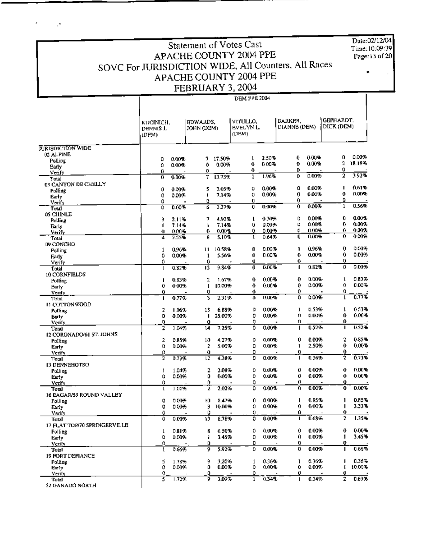Date:02/12/04 Time:10:09:39 Page:13 of 20

# Statement of Votes Cast APACHE COUNTY 2004 PPE SOVC For JURISDICTION WIDE, All Counters, All Races APACHE COUNTY 2004 PPE FEBRUARY 3, 2004

•

|                              |                                 |           |                        |                 | <b>DEM PPE 2004</b>            |                |                                |                |                         |        |
|------------------------------|---------------------------------|-----------|------------------------|-----------------|--------------------------------|----------------|--------------------------------|----------------|-------------------------|--------|
|                              | KUCINICH,<br>DENNIS J.<br>(DPM) |           | EDWARDS.<br>JOHN (DEM) |                 | VITULLO,<br>EVELYN L.<br>(DEM) |                | <b>DARKER.</b><br>DIANNE (DEM) |                | GEFHARDT.<br>DICK (DEM) |        |
| <b>FURISDICTION WIDE</b>     |                                 |           |                        |                 |                                |                |                                |                |                         |        |
| 02 ALPINE                    |                                 |           |                        |                 |                                |                |                                |                |                         |        |
| Polling                      | 0                               | $0.00 +$  | 7.                     | 17.50%          | 1                              | 2.50%          | 0                              | 0.00%          | 0                       | 0.00%  |
| Early                        | 0                               | 0.00%     | ٥                      | 0.00%           | 0                              | 0.00%          | O                              | 0.00%          | 2                       | 18.18% |
| Venly                        | Û                               |           | 0                      |                 | 0                              |                | o                              |                | 0                       |        |
| Total                        | o                               | 0.00%     | 7                      | 13.73%          | ı                              | 1.96%          | ٥                              | 0.00%          | 2                       | 392%   |
| 03 CANYON DE CHELLY          |                                 |           |                        |                 |                                |                |                                |                | п                       | 0.61%  |
| <b>Polling</b>               | 0                               | $0.007 -$ | 5                      | 3.05%           | O                              | 0.00%          | a                              | 0.00%          | 0                       | 0.00%  |
| Early                        | 0                               | 0.00%     | Ţ                      | 7.14%           | 0                              | 0.00%          | Q                              | 0.00%          | 0                       |        |
| Verify                       | 0                               |           | 0                      | 3.37%           | 0<br>0                         | 0.00%          | 0<br>0                         | 0.00%          | $\mathbf{1}$            | 0.56%  |
| Total                        | Ù                               | 0.00%     | 6                      |                 |                                |                |                                |                |                         |        |
| 05 CHINLE                    |                                 | 2.11%     | 7                      | 4.93%           | L                              | 0.70%          | ٥                              | 0.00%          | 0                       | 0.00%  |
| Polling                      | 3<br>1                          | 7.14%     | ۰                      | 7.14%           | 0                              | 0.00%          | 0                              | 0.00%          | 0                       | 0.00%  |
| Early                        | o                               | 0.00%     | 0.                     | 0.00%           | ٥                              | 0.00%          | 0                              | 0.00%          | 0                       | 0.00%  |
| Verify                       | 4                               | 2.55%     | 8                      | 5.10%           | ı                              | 0.64%          | 0                              | 0.00%          | 0                       | 0.00%  |
| Total<br>D9 CONCHO           |                                 |           |                        |                 |                                |                |                                |                |                         |        |
|                              | 1                               | 0.96%     | 11                     | 10.58%          | 0                              | 0.00%          | L                              | 0.96%          | o                       | 0.00%  |
| Polling                      | 0                               | 0.00%     | 1                      | 5.56%           | Û                              | 0.00%          | 0                              | 0.00%          | 0                       | 0.00%  |
| Farly<br>Verify              | 0                               |           | 0                      |                 | Ü                              |                | 0.                             |                | o                       |        |
| Total                        | $\mathsf{L}$                    | 0.82%     | 12                     | 9.84%           | o                              | 0.00%          | 1                              | 0.82%          | 0                       | 0.00%  |
| <b>10 CORNFIELDS</b>         |                                 |           |                        |                 |                                |                |                                |                |                         |        |
| Polling                      | ı                               | 0.83%     | 2                      | 1.67%           | 0                              | $0.00\%$       | Ð                              | 0.00%          | ı                       | 0.83%  |
| Early                        | 0                               | 000%      | $\mathsf{L}$           | 10.00%          | 0                              | $0.00 +$       | 0                              | 0.00%          | 0                       | 0.00%  |
| Venfy                        | 0                               |           | 0                      |                 | 0.                             |                | 0                              |                | o                       |        |
| Total                        | п                               | 0.77%     | 3                      | 2.31%           | Ð                              | 0.00%          | ٥                              | 0.00%          | 1                       | 0.77%  |
| LI COTTONWOOD                |                                 |           |                        |                 |                                |                |                                |                |                         |        |
| Polling                      | 2                               | 1.06%     | 13                     | 6.83%           | ο                              | 0.00%          | ı                              | 0.53%          | 1                       | 0.53%  |
| Barly                        | D                               | 0.00%     | п                      | 25.00%          | 0                              | 0.00%          | 0                              | 0.00%          | 0                       | 0.00%  |
| Verify                       | 0                               |           | 0                      |                 | ŋ                              |                | o                              |                | 0                       |        |
| Toral                        | 2                               | 1.04%     | 14                     | 7.25%           | 0                              | 0.00%          | t                              | 0.52%          | ı                       | 0.52%  |
| 12 CORONADOMI ST. JOHNS      |                                 |           |                        |                 |                                |                |                                |                |                         |        |
| Polling                      | 2                               | 0.85%     | 10                     | 4.27%           | 0                              | 0.00%          | 0                              | 0.00%          | 2                       | 0.85%  |
| Early                        | 0                               | 0.00%     | 2                      | 5.00%           | 0                              | 0.00%          | ı                              | 2.50%          | 0                       | 0.00%  |
| Verify                       | 0                               |           | 0                      |                 | 0                              |                | 0                              |                | 0                       |        |
| Toul                         | 2                               | 0.73%     | t2                     | 4.38%           | 0                              | 0.00%          | ι                              | 0.36%          | ī                       | 0.73%  |
| <b>13 DENNEHOTSO</b>         |                                 |           |                        |                 |                                |                |                                |                |                         |        |
| Polling                      | 1                               | 1.04%     | 2                      | 2.08%           | ۵                              | 0.00%          | 0.                             | 0.00%          | 0                       | 0.DD%  |
| Early                        | Ú                               | 0.00%     | 0                      | 0.00%           | ٥                              | 0.00%          | 0                              | 0.00%          | 0                       | 0.00%  |
| Verify                       | û                               |           | 0                      |                 | 0                              |                | 0                              |                | 0                       |        |
| Total                        | ı                               | 1.01%     | T                      | 2.02%           | 0                              | 0.00%          | 0                              | 0.00%          | 0                       | 0.00%  |
| 16 EAGAR/59 ROUND VALLEY     |                                 |           |                        |                 |                                |                |                                |                |                         |        |
| Polling                      | 0                               | 0.00%     | ł0.                    | 8.47%<br>10.00% | Ů                              | 0.00%<br>0.00% | f,<br>0.                       | 0.85%<br>0.00% | ı<br>п                  | 0.85%  |
| Early                        | 0                               | 0.00%     | 3                      |                 | ٥                              |                | Û                              |                | 0                       | 3.33%  |
| Verify                       | 0                               |           | 0                      |                 | 0.<br>0                        | 0.00%          | п                              | 0.63%          | 2                       | 1.35%  |
| Total                        | û                               | 0.00%     | 13                     | 8.78%           |                                |                |                                |                |                         |        |
| 17 FLAT TOP/70 SPRINGERVILLE |                                 | 0.81%     | 8                      | 6.50%           | 0                              | 0.00%          | 0                              | 0.00%          | 0                       | 0.00%  |
| Polling                      | T<br>0                          | 0.00%     |                        | 3.45%           | 0                              | 0.00%          | 0                              | 0.00%          | 1                       | 3.45%  |
| Early                        | 0                               |           | 1<br>D                 |                 | 0                              |                | 0                              |                | 0                       |        |
| Verify                       | ı                               | 0.66%     | 9.                     | 5.92%           | ٥                              | 0.00%          | 0                              | 0.00%          | п                       | 0.66%  |
| Total                        |                                 |           |                        |                 |                                |                |                                |                |                         |        |
| 19 FORT DEFIANCE             | 5                               | 1.78%     | 9                      | 3.20%           | 1                              | 0.36%          | ı                              | 0.36%          | E                       | 0.36%  |
| Polling<br>Early             | 0                               | 0.00%     | 0                      | 0.00%           | 0                              | 0.00%          | $\mathbf 0$                    | 0.00%          | E                       | 10.00% |
| Verify                       | 0                               |           | 0                      |                 | 0                              |                | Û                              |                | 0                       |        |
| Total                        | 5                               | 1.72%     | 9                      | 3.09%           | 1                              | 0.14%          | L                              | 0.34%          | 2                       | 0.69%  |
| 22 GANADO NORTH              |                                 |           |                        |                 |                                |                |                                |                |                         |        |

" Total<br>22 GANADO NORTH

 $\mathcal{P}$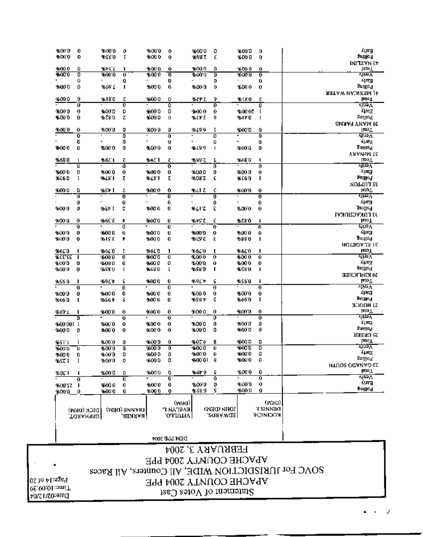Page:14 of 20 Pime:10:09:39 Date:02/12/04

## FEBRUARY 3, 2004 APACHE COUNTY 2004 PPE SOVC For JURISDICTION WIDE, All Counters, All Races APACHE COUNTY 2004 PPE Statement of Votes Cast

DEN LLE 300¢

| <b>EDITO</b>      | 0          | %000          | 0             | %00 0   | $\boldsymbol{0}$        | %00'0        | 0                 | 46000         | 0                       | ស្តុកម្ម               |
|-------------------|------------|---------------|---------------|---------|-------------------------|--------------|-------------------|---------------|-------------------------|------------------------|
| ⊕OD O             | 0          | 9550          | τ             | %000    | 0                       | 16987        | £                 | <b>%00 0</b>  | 0                       | aniho l                |
|                   |            |               |               |         |                         |              |                   |               |                         | <b>INITZYN EV</b>      |
| 4000              | ٥          | ዔቱ ነገ         | п             | %000    | Û                       | 16000        | o                 | <b>4600 O</b> | 0                       | 1,910 T                |
| 400 D             | 0          | 16000         | Ű             | $-0000$ | o                       | -6000        | Ū                 | \$000         | ō                       | yin V                  |
|                   | û          |               | 0             |         | 0                       |              | D                 |               | 0                       | Ajre a                 |
| <b>9500 O</b>     | 0          | %69 L         | ı             | 9000    | 0                       | %000         | 0                 | \$600         | 0                       | gatilo¶                |
|                   |            |               |               |         |                         |              |                   |               |                         | AETAW MAOKSM JA        |
| ⊕00 0             | 0          | %180          | ζ             | 9:000   | 0                       | るてかて         | 9                 | %1X 0         | Ζ                       | lein T                 |
|                   | Ű          |               | ō             |         | Ō                       |              | ō                 |               | Ō                       | सम्मार                 |
| <b>3600 O</b>     | 0          | 9:00 0        | 0             | 46000   | 0                       | 96000        | 0                 | 9600.02       | I                       | E¤4A                   |
| 4.000             | 0          | %790          | z             | \$6000  | 0                       | ች የአ         | 9                 | 5110          | ſ                       | gaillef                |
|                   |            |               |               |         |                         |              |                   |               |                         | <b>SMAAR YMAM RE</b>   |
| ‰ህ በ              | 0          | %000          | 0             | %000    | 0                       | %199         | Ţ                 | \$000         | 0                       | [Eto_L                 |
|                   | ō          |               | ō             |         | Ō                       |              | ō                 |               | 0                       | Ajin A                 |
|                   | 0          |               | 0             | ٠       | Û                       |              | Û                 |               | Ď                       | √பா∃                   |
| 96000             | Û          | %000          | 0             | 4.000   | 0                       | <b>%L9 9</b> | $\mathsf{I}$      | 96000         | D                       | aniito T               |
|                   |            |               |               |         |                         |              |                   |               |                         | YA AMAM TE             |
| ዜ68 በ             |            | %6L L         | ι             | %6. I   | ι                       | %%9'Z        | E                 | ን የአማ         | ι                       | 14oT                   |
|                   | σ          |               | o             |         | $\overline{\mathbf{0}}$ |              | õ                 |               | 0                       | yw.                    |
| %00 O             | 0          | %00 0         | 0             | 2000    | 0                       | 960010       | 0                 | 9600 0        | 0                       | 和嘴                     |
| % 60              | ı          | %LB 1         | τ             | %L8'1   | ζ                       | %03'Z        | ٤                 | <b>9660</b>   | Г                       | gaillef                |
|                   |            |               |               |         |                         |              |                   |               |                         | 32 TALAM               |
| X00 0             | ٥          | %SF I         | τ             | 96000   | 0                       | ዳሪተ ፖ        | e                 | %00 0         | o                       | leioT                  |
|                   | ΰ          |               | ō             |         | a                       |              | D                 |               | $\overline{\mathbf{0}}$ | yin V                  |
|                   | Q          |               | 0             |         | 0                       |              | 0                 |               | 0                       | राज                    |
| KOO O             | 0          | %st i         | z             | 96000   | 0                       | %LI Z        | ε                 | %000          | 0                       | Poling                 |
|                   |            |               |               |         |                         |              |                   |               |                         | JJ FAKVEIIAKVI         |
| %00 O             | 0          | <b>966E C</b> | Þ             | 9:000   | Ú                       | わからえ         | ٤                 | ቆያያው          | п                       | leioT                  |
|                   | o          |               | ø             |         | Ū                       |              | ō                 |               | O                       | برمبية                 |
| ¥0U U             | O          | $+000$        | 0             | 95000   | Ű                       | 45000        | 0                 | %00 0         | 0                       | शक्त                   |
| <b>%00 O</b>      | 0          | %15 E         | ŧ             | 45000   | 0                       | %ርያፒ         | ٤                 | %98 Օ         | ı                       | gartio¶                |
|                   |            |               |               |         |                         |              |                   |               |                         | <b>HOTBOAJX IS</b>     |
| %6L 0             |            | %6L U         | Ţ             | %610    | 1                       | $-66.0$      | ı                 | %6£'0         | ı                       | lapT                   |
| 33 33 X           |            | 9.000         | Ō             | %000    | ō                       | $-0.000$     | ō                 | \$000         | o                       | برضوة                  |
| 800 O             | 0          | 96000         | Ü             | 9500.0  | 0                       | -6000        | 0                 | \$000         | o                       | र मारे                 |
| <b>BOD 0</b>      | $\bf{0}$   | 95570         | Ľ             | 558.0   | Ţ                       | -6580        | п                 | ቶሪያ ዐ         | п                       | 30गा[04                |
|                   |            |               |               |         |                         |              |                   |               |                         | <b>SO KIMPICHEE</b>    |
| %S6 O             |            | 9691 1        | ς             | 9,000   | 0                       | %ዓርቱ         | 5                 | %560          | п                       | teio T                 |
|                   | Û          |               | 0             |         | Ō                       |              | ō                 |               | 0                       | لافترته                |
| ች00 ዐ             | Đ          | 96000         | û             | 96000   | Û                       | 4600         | 0                 | 16000         | 0                       | हजा है,                |
| X 66 O            | ι          | %561          | ۶             | 95000   | Q                       | ቈኗ6ን         | ς                 | \$660         | ı                       | Sugped                 |
|                   |            |               |               |         |                         |              |                   |               |                         | <b>XDOOH LZ</b>        |
| X 69 L            |            | 9000          | 0             | 9,000   | 0                       | 2500.0       | o                 | %00 D         | o                       | <b>POL</b>             |
|                   | D          |               | Ű             |         | ō                       |              | ō                 |               | ō                       | <u>राम्भर</u>          |
| <b>2600'001 1</b> |            | ማመ ወ          | Ü             | 9.000   | 0                       | %000         | o                 | 46000         | 0                       | វា ចេញ                 |
| 3500 O            | 0          | 4 J.O.O       | o             | 9500.0  | 0                       | %000         | 0                 | <b>46000</b>  | 0                       | aunoa                  |
|                   |            |               |               |         |                         |              |                   |               |                         | 23 GREER               |
| ¥≴ՏI'l            |            | 9.000         | 0             | 96000   | Û                       | <b>4076</b>  | 8                 | %000          | 0                       | <b>EXOT</b>            |
| %00 O             | o          | 4:00.0        | Ū             | 96000   | ō                       | 96000        | Ü                 | %00 0         | 0                       | yina V                 |
| %00 O             | 0          | %00 D         | ٥             | 96000   | 0                       | 96000        | Ü                 | 460010        | 0                       | राज्य र                |
| ሜ ያረገ             | t          | %000          | 0             | 96000   | 0                       | 4600001 8    |                   | 96000         | - 0                     | gaillo¶                |
|                   |            |               |               |         |                         |              |                   |               |                         | <b>HIUOS OGANAD ES</b> |
| %0£°I             | L          | 4:000         | 0             | 46000   | 0                       | ቈዕኮ 9        | ς                 | %00 0         | 0                       | [E10.],                |
|                   | 0          |               | Ü             |         | $\overline{\mathbf{0}}$ |              | o                 |               | ō                       | राक्तर                 |
| %00 SZ            | J.         | 40000         | 0             | 96000   | Û                       | %000         | D                 | \$000         | 0                       | 有尾目                    |
| %000 0            |            | 1:000         | Û             | 96000   | 0                       | \$659.9      | 5                 | % OD D        | 0                       | Suillod                |
|                   |            |               |               |         |                         |              |                   |               |                         |                        |
|                   |            |               |               |         | (MBO)                   |              |                   |               | (Mad)                   |                        |
|                   | DICK (DEW) |               | וואמאפ (מסמי) |         | <b>EVELYN L.</b>        |              | <b>IOHN (DEM)</b> |               | <b>T SINNEO</b>         |                        |
|                   | свычукрт,  |               | BARKER        |         | 'OTTALIA                |              | EDWARDS,          |               | ולמכואנכ <del>ון</del>  |                        |
|                   |            |               |               |         |                         |              |                   |               |                         |                        |
|                   |            |               |               |         |                         |              |                   |               |                         |                        |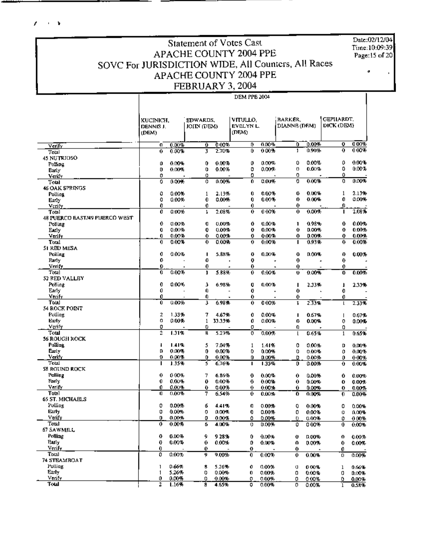**Contract** ×

> Date:02/12/04 Time:10:09:39 Page: 15 of 20

### **Statement of Votes Cast APACHE COUNTY 2004 PPE** SOVC For JURISDICTION WIDE, All Counters, All Races **APACHE COUNTY 2004 PPE** FEBRUARY 3, 2004

J.

 $\ddot{\phantom{a}}$ 

### **DEM PPB 2004** BARKER. **GEPHARDT.** KUCINICH. EDWARDS, VITULLO, DIANNE (DEM) DICK (DEM) JOITN (DEM) EVELYN L. DENNIS J. (DEM) (DEM)  $000%$  $0.00%$ Verify  $0.00%$  $\overline{0}$  $\overline{000\%}$  $\overline{ }$  $0.00%$ Ō  $\overline{\mathbf{0}}$  $\mathbf{u}$  $000%$  $0.90%$ ō  $000%$  $0.00%$ 2.70%  $\overline{0}$ ī 0 3 Total **45 NUTRIOSO** 0.00%  $\alpha$  $0.00%$  $\mathbf{0}$  $0.00%$  $\mathbf 0$  $0.00%$  $\mathbf{0}$  $0.00%$ Û Polling  $\sigma$  $0.00%$ 0  $0.00%$  $\Omega$ Ď.  $0.00%$  $0.00%$  $\mathbf{a}$  $0.00%$ Barly  $\dot{\mathbf{c}}$  $\mathbf{o}$ 0  $\mathfrak o$ ó Verify  $0.00%$  $\overline{\mathfrak{o}}$  $0.00%$  $\overline{0}$  $0.00%$ ō  $0.00%$  $\overline{\mathfrak{o}}$  $0.00%$ ō Total 46 OAK SPRINGS ٥ 0.00% 2.13%  $\mathbf 0$  $0.00%$  $\pmb{0}$ 0.00%  $\mathbf{1}$ 2.13% Polling  $\mathbf{1}$  $\Omega$  $\ddot{\mathbf{0}}$  $\Omega$  $\mathbf{0}$  $0.00%$  $\mathbf{0}$  $0.00%$ 0.00%  $0.00%$  $0.00%$ Early Verify  $\pmb{0}$  $\mathbf 0$  $\boldsymbol{0}$  $\boldsymbol{0}$  $\mathbf{0}$  $0.00%$ 2.08% 0.00%  $0.00%$  $7.08%$ 0  $\overline{\mathfrak{o}}$ ō  $T<sub>at</sub>$  $\overline{\mathbf{1}}$ ī 48 PUERCO BAST/49 PUERCO WEST Polling  $\mathbf 0$  $0.00%$ O 0.00% 0  $0.00%$  $\mathbf{I}$  $0.98%$ 0  $0.00%$  $\mathbf{0}$ 0.00%  $\mathbf{G}$  $0.00%$  $\mathbf 0$ 0.00%  $\mathbf{0}$ 0.00%  $\mathbf{o}$ 0.00% Early  $0.00%$  $0.00%$  $0.00%$  $0.00%$  $0.00%$ Verify n  $\theta$  $\mathbf 0$  $\bf{0}$ 0  $0.00%$ ō  $0.00%$ 0.00% 0.93%  $0.00%$ Total ō  $\overline{\mathfrak{o}}$ ī ក 51 RED MESA Polling  $\pmb{0}$  $0.00%$  $\mathbf{I}$ 5.88%  $\bf{0}$  $0.00%$  $\pmb{0}$ 0.00%  $\boldsymbol{\theta}$  $0.00%$  $\mathbf{0}$  $\mathbf{0}$  $\mathbf 0$  $\pmb{\alpha}$ Early  $\mathbf{a}$ i. ÷. Verify  $\mathbf 0$ Ō  $\ddot{\mathbf{0}}$  $\mathbf 0$  $\mathbf 0$ Total ō  $0.00%$ 5.88%  $0.00%$  $0.00%$  $0.00%$  $\overline{1}$  $\overline{0}$  $\mathbf{U}$ ō 52 RED VALLEY  $\mathbf 0$ Polling 0.00% 3 6.98% Q  $0.00%$  $\mathbf{I}$ 2.33% J. 2.33% Early  $\pmb{0}$  $\hat{\mathbf{0}}$ 0  $\bf{0}$  $\mathbf 0$ Venly 0 Û  $\ddot{\mathbf{0}}$  $\mathbf 0$  $\mathbf{0}$ Total õ  $0.00%$  $6.98%$  $000%$  $2.33%$  $2.33%$ 3  $\overline{0}$ T  $\mathbf{I}$ 54 ROCK POINT 7  $\mathcal{I}$ 1.33%  $\mathbf 0$ Polling 4.67%  $0.00%$  $\mathbf{I}$ 0.67%  $\mathsf I$  $0.67%$ Early  $\boldsymbol{\mathsf{o}}$  $0.00%$  $\mathbf{1}$ 33.33% 0  $0.00%$ 0 0.00% n  $0.00 - 5$  $\Omega$ Verify n α o 0 Total  $\overline{2}$  $1.31%$ न्न 5.23% ō  $0.00%$  $0.65%$  $0.65%$  $\overline{\mathfrak{l}}$  $\overline{1}$ **56 ROUGH ROCK** Polling  $\mathbf{I}$ 1.41% 5 7.04%  $\,1\,$ 1.41% 0  $0.00%$ D  $0.00%$ Early  $\mathbf{D}$  $0.00%$  $\boldsymbol{0}$  $0.00%$ 0 0.00% Ù  $0.00%$  $\theta$  $0.00%$  $0.00%$ Verify  $\mathbf{a}$ Ď.  $0.00%$ ń. 0.00% D  $0.00%$  $\pmb{0}$  $0.00%$ Total T 1.35% 6.76% 1.35%  $\overline{\mathfrak{g}}$  $0.00%$  $0.00%$ 3 ī  $\overline{\mathbf{0}}$ 58 ROUND ROCK  $\sim$  $\sim$   $\sim$   $\sim$  $\overline{a}$  $\overline{a}$  $\overline{a}$  $- - - - \overline{a}$

| Polling                | 0  | 0.00% |    | 6.86% | 0        | 0.00% | 0 | 0.00%    | 0 | 0.00%    |
|------------------------|----|-------|----|-------|----------|-------|---|----------|---|----------|
| Farly                  | 0  | 0.00% | 0  | 0.00% | 0        | 0.00% | 0 | 0.00%    | 0 | 0.00%    |
| Verify                 | 0. | 0.00% | 0  | 0.00% | 0.       | 0.00% | 0 | 0.00%    | 0 | $0.00\%$ |
| Total                  | O. | 0.00% | 7  | 6.54% | 0.       | 0.00% | 0 | 0.00%    | 0 | 0.00%    |
| <b>65 ST. MICHAELS</b> |    |       |    |       |          |       |   |          |   |          |
| Polling                | 0  | 0.00% | б  | 4.41% | O        | 0.00% | 0 | 0.00%    | 0 | 0.00%    |
| Early                  | o  | 0.00% | 0  | 0.00% | 0        | 0.00% | 0 | 0.00%    | Ü | ቢወንት     |
| Verify                 | O. | 0.00% | 0  | 0.00% | ō        | 0.00% |   | 0.00%    | 0 | 000%     |
| Total                  | 0  | 0.00% | б. | 4.00% | 0        | 0.00% | 0 | 0.00%    | 0 | 0.00%    |
| 67 SAWMILL             |    |       |    |       |          |       |   |          |   |          |
| Polline                | o  | 0.00% | 9. | 928%  | 0        | 0.00% | o | 0.00%    | 0 | 0.00%    |
| <b>Barly</b>           | 0  | 0.00% | 0  | 0.00% | Ď        | 0.00% | 0 | 0.00%    | 0 | 0.00%    |
| Verify                 |    |       | 0  |       | o        |       | 0 |          | 0 |          |
| Total                  | ٥  | 0.00% | 9  | 9.00% | $\bf{0}$ | 0.00% | 0 | 0.00%    | 0 | 0.00%    |
| 74 STEAMBOAT           |    |       |    |       |          |       |   |          |   |          |
| Polling                |    | 0.66% | 8  | 5.26% | 0        | 0.00% | α | 0.00%    |   | 0.66%    |
| Early                  |    | 5.26% | n  | 0.00% | 0.       | 0.00% | ۵ | 0.00%    |   | 0.00%    |
| Venty                  |    | 0.00% | n  | 0.00% |          | 0.00% | 0 | $0.00\%$ | o | 0.00%    |
| Total                  |    | 1.16% |    | 4.65% | 0        | 0.00% | 0 | 0.00%    |   | 0.58%    |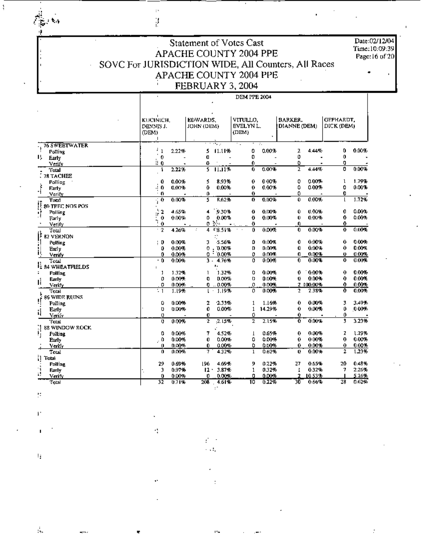$\frac{1}{\sqrt{2}}\sum_{i=1}^n\frac{1}{\sqrt{2}}$ 

 $\mathbf{I}$ 

Date:02/12/04<br>Time:10:09:39 Page:16 of 20

## Statement of Votes Cast APACHE COUNTY 2004 PPE SOVC For JURISDICTION WIDE, All Counters, All Races APACHE COUNTY 2004 PPE FEBRUARY 3, 2004

 $\colon$ 

g.<br>K

**DEM PPE 2004** 

|                                                                                       | DENNIS J.<br>(DEM)<br>1 | KUCINICH.<br>EDWARDS.<br>JOHN (DEM) |                  | VITULLO.<br><b>EVELYN L.</b><br>(DEM) |        | <b>BARKER.</b><br>DIANNE (DEM) |           | GEPHARDT.<br>DICK (DEM) |       |
|---------------------------------------------------------------------------------------|-------------------------|-------------------------------------|------------------|---------------------------------------|--------|--------------------------------|-----------|-------------------------|-------|
| <b>76 SWEETWATER</b>                                                                  |                         |                                     | 172.2            |                                       | ÷.     |                                |           |                         |       |
| Polling                                                                               | ÷<br>$\mathbf{1}$       | 2.22%                               | 5<br>11.11%      | 0                                     | 0.00%  | z                              | 4.44%     | 0                       | 0.00% |
| ı,<br>Early                                                                           | 0                       |                                     | O                | 0                                     |        | 0                              |           | 0                       |       |
| Verify                                                                                | U 0                     |                                     | O                | 0.                                    |        | ٥                              |           | 0                       |       |
| 'Fotal                                                                                | 1                       | 2.22%                               | 11.11%<br>s      | 0                                     | 0.00%  | z                              | 4.44%     | ٥                       | 0.00% |
| .78 TACHEE                                                                            |                         |                                     |                  |                                       |        |                                |           |                         |       |
| Polling                                                                               | 0                       | 0.00%                               | 8.93%<br>5       | 0                                     | 0.00%  | 0                              | 0.00%     | ı                       | 1.79% |
| ۱.<br>آ<br>Early                                                                      | 0<br>л                  | 0.00%                               | 0.00%<br>Û       | Û                                     | 0.00%  | ٥                              | 0.00%     | 0                       | 0.00% |
| Verify                                                                                | 0                       |                                     | o                | 0                                     |        | ٥                              |           | 0                       |       |
| Total                                                                                 | 0                       | 0.00%                               | R.62%<br>5       | ō                                     | 0.00%  | Û                              | 0.00%     |                         | 1.72% |
| $\frac{1}{2}$ = 80 TPEC NOS POS<br>$\frac{1}{2}$ = Polling<br>$\frac{1}{2}$ = Polling |                         |                                     |                  |                                       |        |                                |           |                         |       |
|                                                                                       | ь.<br>2<br>ł۲           | 4.65%                               | $-9.30%$<br>4    | 0                                     | 0.00%  | 0                              | 0.00%     | 0                       | 0.00% |
| Farly                                                                                 | 0                       | 0.00%                               | 0.00%<br>٥       | 0                                     | 0.00%  | Ü                              | 0.00%     | 0                       | 0.00% |
| Verify                                                                                | ħ<br>0                  |                                     | 0.3%             | O                                     |        | 0                              |           | 0                       |       |
| 'Total                                                                                | 2                       | 4.26%                               | $4*8.51%$        | 0                                     | 0.00%  | $\bf{0}$                       | 0.00%     | 0                       | 0.00% |
| $\mathbf{t}^{\text{t}}$ 82 VERNON                                                     |                         |                                     |                  |                                       |        |                                |           |                         |       |
| 1<br>Polling                                                                          | $\vdots$ D              | 0.00%                               | -5.56%<br>З      | D                                     | 0.00%  | 0                              | 0.00%     | 0                       | 0.00% |
| Early                                                                                 | 0                       | 0.00%                               | .000%<br>0       | D                                     | 0.00%  | Û                              | $0.00 -$  | 0                       | 0.00% |
| il.<br>Verify                                                                         | 0                       | 0.00%                               | ÷,<br>0.00%<br>0 | 0                                     | 0.00%  | O                              | 0.00%     | Ü.                      | 0.00% |
| Total                                                                                 | - 0                     | 0.00%                               | 3.<br>4.76%      | o                                     | 0.00%  | 0                              | 0.00%     | 0                       | 0.00% |
| E 84 WHEATPIELDS                                                                      | $\ddot{\phantom{a}}$    |                                     | ,                |                                       |        |                                |           |                         |       |
| <b>Polling</b><br>г                                                                   | J.                      | 1.32%                               | 1<br>1.32%       | 0                                     | 0.00%  | 0                              | 0.00%     | 0                       | 0.00% |
| Early                                                                                 | 0                       | 0.00%                               | O<br>0.00%       | o                                     | 0.00%  | 0                              | 0.00%     | 0                       | 0.00% |
| Ιİ<br>Verify                                                                          | 0                       | 0.00%                               | $0 - 0.00\%$     | 0                                     | 0.00%  |                                | 2 100.00% | 0.                      | 0.00% |
| Total                                                                                 |                         | 1.19%                               | 1.19%            | o                                     | 0.00%  | 2                              | 2.38%     | 0                       | 0.00% |
| 86 WIDE RUINS                                                                         |                         |                                     |                  |                                       |        |                                |           |                         |       |
| J<br>Polling                                                                          | Û                       | 0.00%                               | 2<br>2.33%       | 1                                     | 1.16%  | 0                              | $0.00\%$  | 3                       | 3.49% |
| Early                                                                                 | Ü                       | 0.00%                               | 0.00%<br>0       | 1                                     | 14.29% | 0                              | 0.00%     | 0                       | 0.00% |
| ij<br>Verify                                                                          | o                       |                                     | 0                | 0                                     |        | 0.                             |           | 0                       |       |
| 'Fotal                                                                                | 0                       | 0.00%                               | 2<br>2.15%       | 2                                     | 2.15%  | Û                              | 0.00%     | 3                       | 3.23% |
| <b>88 WINDOW ROCK</b>                                                                 |                         |                                     |                  |                                       |        |                                |           |                         |       |
| i!<br><b>Polling</b>                                                                  | 0                       | 0.00%                               | 4.52%<br>7       | $\mathbf{I}$                          | 0.65%  | 0                              | 0.00%     | z                       | 1.29% |
| Early                                                                                 | ه ,                     | 0.00%                               | 0.00%<br>Û       | ٥                                     | 0.00%  | 0                              | 0.00%     | o                       | 0.00% |
|                                                                                       | 0                       | 0.00%                               | 0.00%<br>0.      | ٥                                     | 0.00%  | 0                              | 0.00%     | 0                       | 0.00% |
| Verify<br>Total                                                                       | 0                       | 0.00%                               | 7<br>4.32%       | $\mathbf{1}$                          | 0.62%  | Ü                              | 0.00%     | 2                       | 1.23% |
|                                                                                       |                         |                                     |                  |                                       |        |                                |           |                         |       |
| i] Total<br><b>Polling</b>                                                            | 29                      | 0.69%                               | 196<br>4.69%     | 9                                     | 0.22%  | 27                             | 0.65%     | 20                      | 0.48% |
| Å                                                                                     | 3                       | 0.97%                               | $12 -$<br>3.87%  | 1                                     | 0.32%  | 1                              | 0.32%     | 7                       | 2.26% |
| Early<br>ä.                                                                           | Û                       | 0.00%                               | 0.00%<br>O       | n                                     | 0.00%  | ÷,                             | 10.53%    |                         | 5.26% |
| Verify<br>Total                                                                       | 32                      | 0.71%                               | 208<br>4.61%     | 10                                    | 0.22%  | 30                             | 0.66%     | 28                      | 0.62% |

√ ÷  $\sim 10^4$ 

ò.

Ħ

 $\bar{F}$ 

÷,

 $\mathbb{F}_2$ 

 $\frac{1}{2\pi}$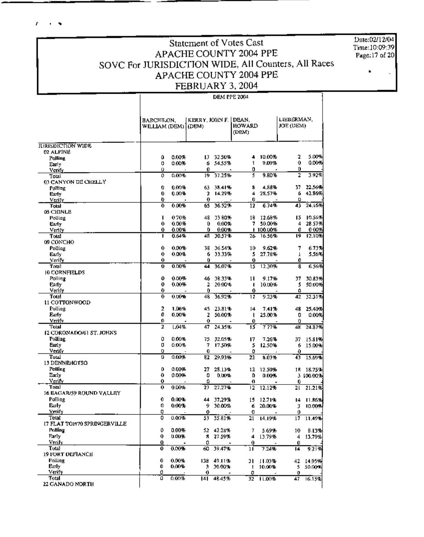f. **Contract** 

## Statement of Votes Cast APACHE COUNTY 2004 PPE SOVC For JURISDICTION WIDE, All Counters, All Races APACHE COUNTY 2004 PPE FEBRUARY 3, 2004

Date: $02/12/04$ Time:10:09:39 Page: 17 of 20

|                                    | BARCHILON.<br>WILLIAM (DEM) (DEM) |                | KERRY, JOHN F. |                  | DEAN.<br>HOWARD<br>(DEM) |                     | LIEBERMAN,<br>JOE (DEM) |                  |
|------------------------------------|-----------------------------------|----------------|----------------|------------------|--------------------------|---------------------|-------------------------|------------------|
| <b>IURISDICTION WIDE</b>           |                                   |                |                |                  |                          |                     |                         |                  |
| 02 ALPINE                          |                                   |                |                |                  |                          |                     |                         | 5.00%            |
| <b>Polling</b>                     | 0<br>0                            | 0.00%          | 13.            | 32.50%           | 4<br>1                   | 10.00%<br>9.09%     | 2<br>0                  | 0.00%            |
| Early                              | 0                                 | 0.00%          | 6<br>Û         | 54.55%           | 0                        |                     | 0                       |                  |
| Venty<br>Total                     | 0                                 | 0.00%          | 19             | 37.25%           | 5                        | 9.BO%               | 2                       | 3.92%            |
| 03 CANYON DE CHELLY                |                                   |                |                |                  |                          |                     |                         |                  |
| Polling                            | 0                                 | 0.00%          | 63             | 38.41%           | S                        | 4.88%               | 37                      | 22.56%           |
| Early                              | 0                                 | 0.00%          | 2              | 14.29%           | 4                        | 28.57%              | 6                       | 42.86%           |
| Verify                             | 0                                 |                | 0              |                  | 0                        |                     | ο                       |                  |
| Total                              | 0                                 | 0.00%          | 65             | 36.52%           | 12                       | 6.74%               | 43                      | 24.16%           |
| 05 CHINLE                          |                                   |                |                |                  |                          |                     |                         |                  |
| Polling                            | ı                                 | 070%           | 48             | 33 80%           | 18                       | 12.68%              | 15                      | 10.56%           |
| Early                              | 0                                 | 0.00%          | 0<br>0         | 0.00%            | 7                        | 50.00%              | 4                       | 28 57%           |
| Verify<br>Total                    | 0.<br>п                           | 0.00%<br>0.64% | 48             | 0.00%<br>30.57%  | 26.                      | 1 100.00%<br>16.56% | 0<br>19.                | 0.00%<br>12.1095 |
| 09 CONCHO                          |                                   |                |                |                  |                          |                     |                         |                  |
| Polling                            | 0                                 | 0.00%          | 38             | 36.54%           | 10                       | 9.62%               | 7                       | 6.73%            |
| Early                              | 0                                 | 0.00%          | 6              | 33.33%           | 5                        | 27.78%              | $\mathbf{I}$            | 5.56%            |
| Verify                             | 0                                 |                | Û              |                  | 0                        |                     | 0                       |                  |
| Total                              | 0                                 | 0.00%          | 44             | 36.07%           | เร                       | 12.30%              | 8                       | 6.56%            |
| 10 CORNFIELDS                      |                                   |                |                |                  |                          |                     |                         |                  |
| Polling                            | 0                                 | 0.00%          |                | 46 38.33%        | 11                       | 9.17%               | 37                      | 30.83%           |
| Early                              | 0                                 | 0.00%          | 2              | 20.00%           | п                        | 10.00%              | 5                       | 50.00%           |
| Verify                             | 0                                 |                | 0              |                  | 0                        |                     | ۵                       |                  |
| Total:<br><b>11 COTTONWOOD</b>     | 0                                 | 0.00%          | 48             | 36.92%           | 12                       | 9.23%               | 42                      | 32.31%           |
| Polling                            | 2                                 | 1.06%          | 45             |                  | 14                       |                     |                         |                  |
| Early                              | 0                                 | 0.00%          | z              | 23.81%<br>50.00% | ŧ                        | 7.41%<br>25.00%     | 48<br>0                 | 25.40%<br>0.00%  |
| Verify                             | 0                                 |                | 0              |                  | Û                        |                     | Ũ.                      |                  |
| Total                              | 2                                 | 1.04%          | 47             | 24.35%           | ïš.                      | 7 77%               | 48                      | 24.37%           |
| 12 CORONADO/61 ST. JOHNS           |                                   |                |                |                  |                          |                     |                         |                  |
| Polling                            | 0                                 | 0.00%          | 75             | 32.05%           | 17                       | 7.26%               | 37                      | 15.81%           |
| Barly                              | 0                                 | 0.00%          | 7              | 17.50%           | 5                        | 12.50%              | 6                       | 15.00%           |
| Verify                             | ο                                 |                | 0              |                  | 0                        |                     | 0                       |                  |
| Total                              | o                                 | 0.00%          | 82             | 29.93%           | 22                       | 8.03%               | 43                      | 15.69%           |
| 13 DENNEHOTSO                      |                                   |                |                |                  |                          |                     |                         |                  |
| Polling                            | 0<br>0                            | 0.00%          | 27             | 28.13%           | 12.                      | 12.50%              | 15.                     | 18.75%           |
| Early<br>Verify                    | 0                                 | 0.00%          | 0<br>٥         | 0.00%            | ٥                        | 0.00%               |                         | 3 100.00%        |
| Trutal                             | 0                                 | 0.00%          | 27             | 27.27%           | o<br>12                  | 12.12%              | 0<br>21                 | 21.21%           |
| 16 EAGAR/59 ROUND VALLEY           |                                   |                |                |                  |                          |                     |                         |                  |
| Polling                            | 0                                 | 0.00%          |                | 44 37.29%        | 15                       | 12.71%              | 14                      | 11.86%           |
| Euly                               | o                                 | 0.00%          | 9              | 30.00%           | б                        | 20.00%              | Э                       | 10.00%           |
| Verify                             | 0                                 |                | o              |                  | o                        |                     | 0                       |                  |
| Total                              | 0                                 | 0.00%          | 53             | 35.81%           | 21                       | 14.19%              | 17                      | 11.49%           |
| 17 FLAT TOP70 SPRINGERVILLE        |                                   |                |                |                  |                          |                     |                         |                  |
| Polling                            | 0                                 | 0.00%          |                | 52 42.28%        | 7                        | 5.69%               | 10                      | B.13%            |
| Farly                              | 0                                 | 0.00%          |                | 8 27.59%         | 4                        | 13.79%              | 4                       | 13.79%           |
| Venfy                              | 0.                                | $\blacksquare$ | o              | $\blacksquare$   | 0                        |                     | Û                       |                  |
| Total                              | 0                                 | 0.00%          | 60             | 39.47%           | 11                       | 7.24%               | 14                      | 9.21%            |
| <b>19 FORT DEFIANCE</b><br>Polling | 0                                 | 0.00%          |                |                  |                          |                     |                         |                  |
| <b>Early</b>                       | 0                                 | 0.00%          | 138<br>э       | 49.11%<br>30.00% | 31<br>t                  | 11.03%<br>10.00%    | 42<br>5                 | 14.95%<br>50.00% |
| Verify                             | 0                                 |                | 0              |                  | 0                        |                     | 0                       |                  |
| Total                              | ö                                 | 0.00%          |                | 141 48.45%       |                          | $32 - 11.00%$       | 47                      | 16.15%           |
| 22 GANADO NORTH                    |                                   |                |                |                  |                          |                     |                         |                  |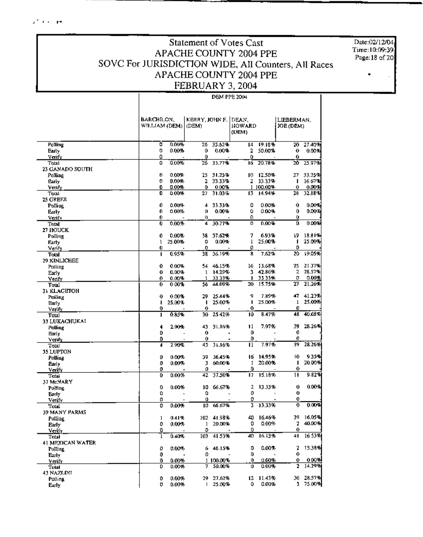## Statement of Votes Cast APACHE COUNTY 2004 PPE SOVC For JURISDICTION WIDE, All Counters, All Races APACHE COUNTY 2004 PPE FEBRUARY 3, 2004

Date:02/12/04 Time: 10:09:39 Page: 18 of 20

|                            | BARCHILON.     |          | KERRY, JOHN F. DEAN. |                  |               |                 | LIEBERMAN.   |                 |
|----------------------------|----------------|----------|----------------------|------------------|---------------|-----------------|--------------|-----------------|
|                            | WILLIAM (DEM). |          | (DEM)                |                  | <b>HOWARD</b> |                 | JOE (DEM)    |                 |
|                            |                |          |                      |                  | (DEM)         |                 |              |                 |
| Polling                    | o              | 0.00%    | 26                   | 35.62%           | 14            | 19.18%          | 20           | 27.40%          |
| Early                      | 0              | $0.00 -$ | 0                    | 0.00%            | 2             | 50.00%          | 0            | 0.00%           |
| Veniv                      | 0              |          | 0                    |                  | 0             |                 | 0            |                 |
| Total                      | û              | 0.00%    | 26                   | 33.77%           | 16            | 20.78%          | 20           | 25.97%          |
| 23 GANADO SOUTH<br>Polling | o              | 0.00%    | 25                   | 31.25%           | ю             | 12.50%          | 27           | 33.75%          |
| Early                      | 0              | 0.00%    | 2                    | 33.33%           | 2             | 33.33%          | п            | 16.67%          |
| Venfy                      | 0              | $0.00 +$ | 0                    | 0.00%            |               | 1 100.00%       | 0            | 0.00%           |
| Total                      | 0              | 0.00%    | 27                   | 31.03%           | 13.           | 14.94%          | 28           | 32.18%          |
| 25 GREER                   |                |          |                      |                  |               |                 |              |                 |
| Polling                    | 0              | 0.00%    | 4                    | 33.33%           | 0             | 0.00%           | 0            | 0.00%           |
| Early                      | 0              | $0.00\%$ | 0                    | 0.00%            | 0             | 0.00%           | 0            | 0.00%)          |
| Verify                     | ø<br>0         |          | 0<br>4               | 30.77%           | 0<br>0        | 0.00%           | 0<br>Ü       | 0.00%           |
| Total<br>27 HOUCK          |                | $0.00\%$ |                      |                  |               |                 |              |                 |
| Polling                    | 0              | 0.00%    | 38.                  | 37.62%           | 7             | 6.93%           | I9           | 18.81%          |
| Early                      | ı              | 25.00%   | 0                    | 0.00%            | T             | 25.00%          | п            | 25.00%          |
| Verify                     | 0              |          | 0                    |                  | 0             |                 | 0            |                 |
| Total                      | ٠              | 0.95%    | 38                   | 36.19%           | Ŷ,            | 7.62%           | 20           | 19.05%          |
| 29 KINLICHEE               |                |          |                      |                  |               |                 |              |                 |
| Polling                    | 0              | 0.00%    |                      | 54 46.15%        | 16            | 13.68%          | 25           | 21.37%          |
| Early                      | 0              | 0.00%    | ı                    | 14.29%           | 3             | 42.86%          | 2            | 28.57%          |
| Verity                     | 0<br>0         | 0.00%    | ı                    | 33.33%<br>44.09% | ı<br>20       | 3333%<br>15.75% | 0<br>27      | 0.00%<br>21.26% |
| Total                      |                | 000%     | 56                   |                  |               |                 |              |                 |
| 31 KLACETOH<br>Polling     | 0              | 0.00%    | 29                   | 25.44%           | g             | 7.89%%          | 47           | 41.23%          |
| Early                      | 1              | 25.00%   | ı                    | 25.00%           | п             | 25.00%          | ı            | 25,00%          |
| Verify                     | 0              |          | 0                    |                  | 0             |                 | Û            |                 |
| Total                      | п              | 0.85%    | 30                   | 25 4 2%          | 10            | 8.47%           | 48           | 40.68%          |
| 33 LUKACHUKAI              |                |          |                      |                  |               |                 |              |                 |
| Polling                    | 4              | 2.90%    |                      | 43 31.16%        | 11            | 7.97%           | 39           | 28.26%          |
| Early                      | ٥              |          | 0                    |                  | Ď             |                 | 0            |                 |
| Venfy                      | Ď              | 2.90%    | 0<br>43              | ٠<br>31.16%      | D<br>11       | 7.97%           | 0<br>39      | 28.26%          |
| Total                      | 4              |          |                      |                  |               |                 |              |                 |
| 35 LUPTON<br>Polling       | 0              | 0.00%    | 39                   | 36.45%           | 16            | 14.95%          | 10           | 9.35%           |
| Early                      | 0              | 0.00%    | 3                    | 60.00%           | 1             | 20.00%          | ı            | 20.00%          |
| Verify                     | 0              |          | 0                    |                  | 0             |                 | 0.           |                 |
| Total                      | 0              | $0.00\%$ | 42                   | 37.50%           | 17            | 15.18%          | 11           | 9.82%           |
| 37 McNARY                  |                |          |                      |                  |               |                 |              |                 |
| Polling                    | 0              | 0.00%    | 10                   | 66.67%           | 2             | 13.33%          | Û            | 0.00%           |
| Early                      | 0              |          | 0<br>Û               |                  | ٥<br>0        |                 | Ü<br>O       |                 |
| Verify<br>Tutal            | ٥<br>٥         | 0.00%    | $\overline{10}$      | 66.67%           | 2             | 13.33%          | 0            | 0.00%           |
| 39 MANY PARMS              |                |          |                      |                  |               |                 |              |                 |
| Polling                    | ı              | 0.41%    |                      | 102 41.98%       |               | 40 16.46%       | 39.          | 16.05%          |
| Early                      | ٥              | 0.00%    |                      | 20.DO%           |               | $0 - 0.00\%$    | $\mathbf{2}$ | 40.00%          |
| Verify                     | 0              |          | 0                    |                  | 0             |                 | 0            |                 |
| Total                      | ı              | 0.40%    | 103                  | 41.53%           | 40            | 16.13%          | 41           | 16 5 3 %        |
| 41 MEXICAN WATER           |                |          |                      |                  |               |                 |              |                 |
| Polling                    | 0              | 0.00%    | 6                    | 46.15%           | 0<br>0        | 0.00%           | 2<br>0       | 15.38%          |
| Early                      | 0<br>0         | 0.00%    | 0                    | 1100.00%         | 0             | 0.00%           | 0            | 000명            |
| Verify<br>Total            | 0              | 0.00%    | 7                    | 50.00%           | o             | 0.00%           | 2            | 14.29%          |
| 43 NAZLINI                 |                |          |                      |                  |               |                 |              |                 |
| Polling                    | 0              | 0.00%    | 29.                  | 27.62%           | 12            | 11.43%          | 30.          | 28.57%          |
| Early                      | 0              | 0.00%    | L                    | 25.00%           | ٥             | 0.00%           | 3.           | 75.00%          |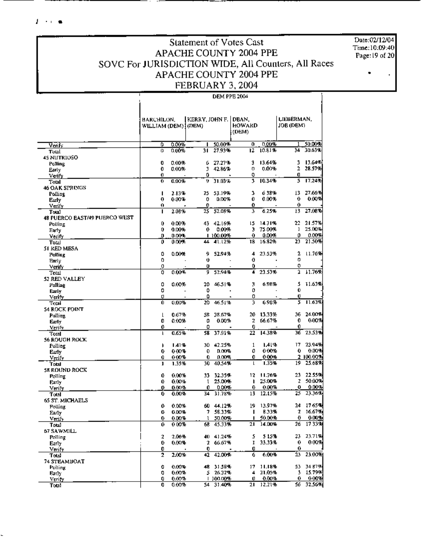### $F \rightarrow \infty$

**Statement of Votes Cast** APACHE COUNTY 2004 PPE SOVC For JURISDICTION WIDE, All Counters, All Races APACHE COUNTY 2004 PPE FEBRUARY 3, 2004

Date:02/12/04 Time:10:09:40 Page:19 of 20

|                                        | HARCHILON,<br>WILLIAM (DEM) (DEM) |       | KERRY, JOHN F. |              | DBAN.<br>HOWARD<br>(DEM) |                          | LIEBERMAN,<br>JOB (DEM). |            |
|----------------------------------------|-----------------------------------|-------|----------------|--------------|--------------------------|--------------------------|--------------------------|------------|
|                                        | ٥                                 | 0.00% |                | 50.00%       | Ð                        | 0.00%                    |                          | 50.00%     |
| Veni -<br>Total                        | 0                                 | 0.00% | 31             | 27.93%       | 12                       | 10.81%                   |                          | 34 30.63%  |
| <b>45 NUTRIOSO</b>                     |                                   |       |                |              |                          |                          |                          |            |
| Polling                                | 0                                 | 0.00% | 6              | 27.27%       | 3                        | 13.64%                   | 1                        | 13.64%     |
| Early                                  | 0                                 | 0.00% | 3.             | 42.86%       | Ü                        | 0.00%                    | 2                        | 28.57%     |
| Veify                                  | 0.                                |       | 0              |              | 0                        |                          | O                        |            |
| Total                                  | 0                                 | 0.00% | ŋ              | 31.03%       | 3                        | 10.34%                   | 5                        | 17.24%     |
| 46 OAK SPRINGS                         |                                   |       |                |              |                          |                          |                          |            |
| Polling                                | п                                 | 2.13% |                | 25 53.19%    | з                        | 638%                     | 13                       | 27.66%     |
| Early                                  | 0                                 | 0.00% | 0              | <b>D.DO%</b> | Û                        | 0.00%                    | 0                        | 0.00%      |
| Verify                                 | 0<br>ı                            |       | 0              | 25 52.08%    | Û<br>3                   | 6.25%                    | 0<br>ł3                  | 27.08%     |
| Total<br>48 PUERCO BAST/49 PUERCO WEST |                                   | 2.0B% |                |              |                          |                          |                          |            |
| Polling                                | 0                                 | 0.00% |                | 43 42.16%    | 15                       | 14.71%                   | 22.                      | 21.57%     |
| Early                                  | 0                                 | 0.00% | 0.             | 0.00%        | 3                        | 75.00%                   | ı                        | 25.00%     |
| Verify                                 | ŋ.                                | 0.007 |                | 1 100.00%    | 0                        | 0.00%                    | 0                        | 0.00%      |
| Total                                  | 0                                 | 0.00% | 44             | 41.12%       | 18                       | 16.82%                   | 23                       | 21.50%     |
| 51 KED MESA                            |                                   |       |                |              |                          |                          |                          |            |
| Polling                                | 0                                 | 0.00% | 9              | 52.94%       | 4                        | 23.53%                   | 2                        | 11.76%     |
| <b>Early</b>                           | 0                                 |       | 0              |              | 0                        |                          | ο                        |            |
| Venify                                 | 0                                 |       | Ð              |              | 0                        |                          | 0                        |            |
| Total                                  | 0                                 | 0.00% | 9              | 52.94%       | 4                        | 23.53%                   | 2                        | 11.76%     |
| 52 RED VALLEY                          |                                   |       |                |              |                          |                          |                          |            |
| Polling                                | 0                                 | 0.00% | 20.            | 46.51%       | 3                        | 6.98%                    | 5                        | 11.63%     |
| Early                                  | 0                                 |       | 0<br>0         |              | o<br>0                   | $\overline{\phantom{a}}$ | Û<br>U                   |            |
| Verify                                 | o<br>Ō                            | 0.00% | 20.            | 46.51%       | 3                        | 6.98%                    | 5                        | 11.63%     |
| Total<br>54 ROCK POINT                 |                                   |       |                |              |                          |                          |                          |            |
| Polling                                | l                                 | 0.67% | 58             | 38.67%       | 20.                      | 13.33%                   | 36                       | 24.00%     |
| Early                                  | 0                                 | 0.00% | 0              | 0.00%        | 2                        | 66.67%                   | 0                        | 0.00%      |
| Verify                                 | 0                                 |       | 0              |              | 0                        |                          | 0                        |            |
| Total                                  | Ł                                 | 0.65% | 58             | 37.91%       | 22.                      | 14.38%                   | 36                       | 23.53%     |
| 56 ROUGH ROCK                          |                                   |       |                |              |                          |                          |                          |            |
| Polling                                | ۱                                 | 1.41% |                | 30 42.25%    | $\mathbf{1}$             | 1.41%                    | 17.                      | 23.94%     |
| Early                                  | 0                                 | 0.00% | 0.             | 0.00%        | 0                        | 0.00%                    | 0.                       | 0.00%      |
| Verify                                 | 0                                 | 000%  | 0.             | 0.00%        | 0                        | 0.00%                    |                          | 2 100.00%  |
| Total                                  | ı                                 | 1.35% | 30.            | 40.54%       | L                        | 1.35%                    | 19                       | 25.68%     |
| 58 ROUND ROCK                          | Û                                 | 0.00% |                | 33 32.35%    |                          | 12 11.76%                | 23                       | 22.55%     |
| Polling                                | Û                                 | 0.00% | $\mathbf{1}$   | 25.00%       | ٠                        | 25.00%                   |                          | 2 50.00% } |
| <b>Farly</b><br>Verify                 | 0                                 | 0.00% | 0.             | 0.00%        | 0                        | 0.00%                    | 0                        | 0.00%      |
| Total                                  | 0                                 | 0.00% | 34             | 31.78%       | 13                       | 12.15%                   | 25                       | 23.36%     |
| <b>65 ST. MICHAELS</b>                 |                                   |       |                |              |                          |                          |                          |            |
| Polling                                | 0                                 | 0.00% |                | 60 44.12%    | 19                       | 13.97%                   | 24.                      | 1765%      |
| Early                                  | O                                 | 0.00% |                | 7 58.33%     | п                        | 8.13%                    | 2.                       | 16.67%     |
| Verify                                 | 0                                 | 0.00% |                | 1 50.00%E    | п                        | 50.00%                   | o                        | 0.00%      |
| Total                                  | 0                                 | 000%  |                | 68 45.33%    |                          | $21 - 14.00%$            |                          | 26 17 33%  |
| 67 SAWMILL                             |                                   |       |                |              |                          |                          |                          |            |
| Polling                                | 2                                 | 2.06% |                | 40 41.24%    | s                        | 515%                     | 23.                      | 23.71%     |
| Early                                  | 0                                 | 0.00% | 2              | 66.67%       | I                        | 33.33%                   | $\bf{0}$                 | 0.00%      |
| Venty                                  | 0                                 |       | 0              |              | o                        |                          | 0<br>23                  | 23.00%     |
| Total<br>74 STEAMBOAT                  | 2                                 | 2.00% | 42             | 42.00%       | 6                        | 6.00%                    |                          |            |
| Polling                                | 0                                 | 0.00% |                | 48 31.58%    | 17                       | 11.18%                   | 53                       | 34 87%     |
| Early                                  | 0                                 | 0.00% |                | \$26.32%%    | 4                        | 21.05%                   | 3                        | 15.79%     |
| Verity                                 | 0                                 | 0.00% |                | 1 100.00%    | Ü                        | 0.00%                    | 0.                       | 000% M     |
| Total                                  | 0                                 | 0.00% |                | 54 31.40%    | 21                       | 12.21%                   | 56                       | 32.56%     |